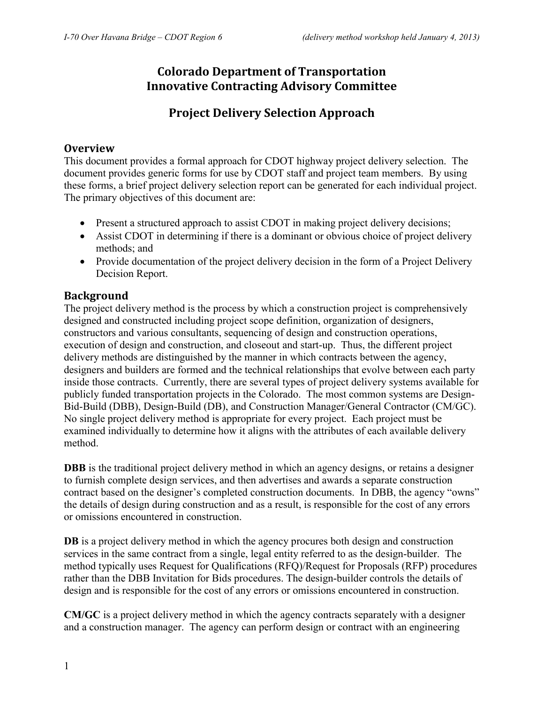## **Colorado Department of Transportation Innovative Contracting Advisory Committee**

## **Project Delivery Selection Approach**

## **Overview**

This document provides a formal approach for CDOT highway project delivery selection. The document provides generic forms for use by CDOT staff and project team members. By using these forms, a brief project delivery selection report can be generated for each individual project. The primary objectives of this document are:

- Present a structured approach to assist CDOT in making project delivery decisions;
- Assist CDOT in determining if there is a dominant or obvious choice of project delivery methods; and
- Provide documentation of the project delivery decision in the form of a Project Delivery Decision Report.

## **Background**

The project delivery method is the process by which a construction project is comprehensively designed and constructed including project scope definition, organization of designers, constructors and various consultants, sequencing of design and construction operations, execution of design and construction, and closeout and start-up. Thus, the different project delivery methods are distinguished by the manner in which contracts between the agency, designers and builders are formed and the technical relationships that evolve between each party inside those contracts. Currently, there are several types of project delivery systems available for publicly funded transportation projects in the Colorado. The most common systems are Design-Bid-Build (DBB), Design-Build (DB), and Construction Manager/General Contractor (CM/GC). No single project delivery method is appropriate for every project. Each project must be examined individually to determine how it aligns with the attributes of each available delivery method.

**DBB** is the traditional project delivery method in which an agency designs, or retains a designer to furnish complete design services, and then advertises and awards a separate construction contract based on the designer's completed construction documents. In DBB, the agency "owns" the details of design during construction and as a result, is responsible for the cost of any errors or omissions encountered in construction.

**DB** is a project delivery method in which the agency procures both design and construction services in the same contract from a single, legal entity referred to as the design-builder. The method typically uses Request for Qualifications (RFQ)/Request for Proposals (RFP) procedures rather than the DBB Invitation for Bids procedures. The design-builder controls the details of design and is responsible for the cost of any errors or omissions encountered in construction.

**CM/GC** is a project delivery method in which the agency contracts separately with a designer and a construction manager. The agency can perform design or contract with an engineering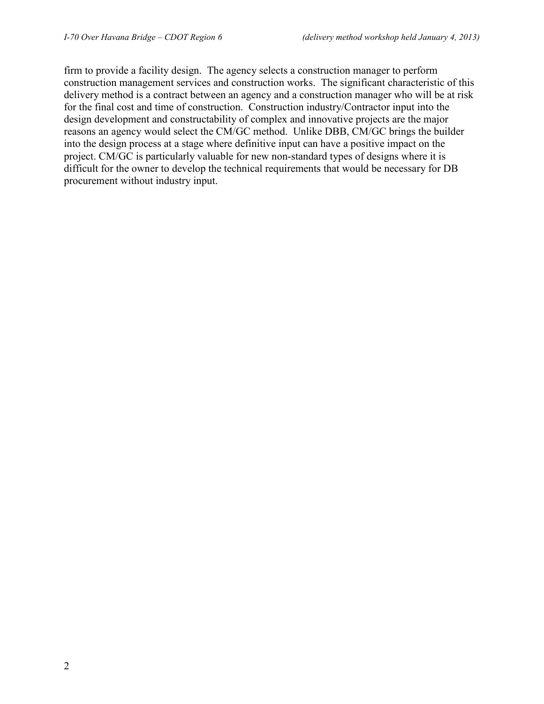firm to provide a facility design. The agency selects a construction manager to perform construction management services and construction works. The significant characteristic of this delivery method is a contract between an agency and a construction manager who will be at risk for the final cost and time of construction. Construction industry/Contractor input into the design development and constructability of complex and innovative projects are the major reasons an agency would select the CM/GC method. Unlike DBB, CM/GC brings the builder into the design process at a stage where definitive input can have a positive impact on the project. CM/GC is particularly valuable for new non-standard types of designs where it is difficult for the owner to develop the technical requirements that would be necessary for DB procurement without industry input.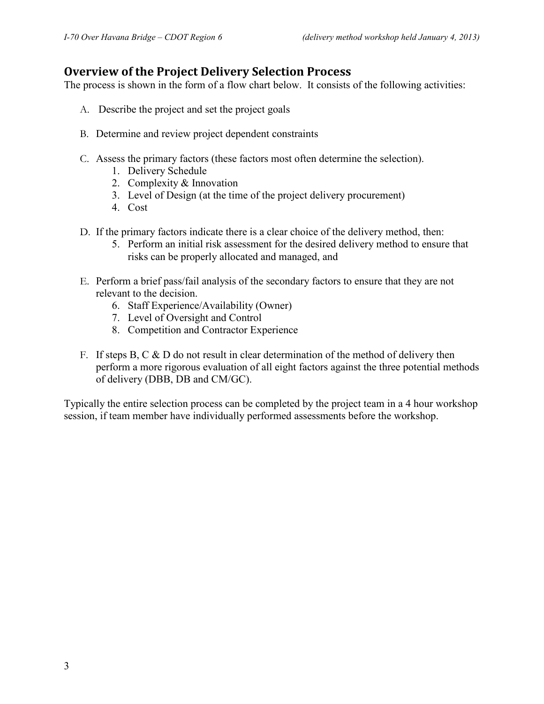## **Overview of the Project Delivery Selection Process**

The process is shown in the form of a flow chart below. It consists of the following activities:

- A. Describe the project and set the project goals
- B. Determine and review project dependent constraints
- C. Assess the primary factors (these factors most often determine the selection).
	- 1. Delivery Schedule
	- 2. Complexity & Innovation
	- 3. Level of Design (at the time of the project delivery procurement)
	- 4. Cost
- D. If the primary factors indicate there is a clear choice of the delivery method, then:
	- 5. Perform an initial risk assessment for the desired delivery method to ensure that risks can be properly allocated and managed, and
- E. Perform a brief pass/fail analysis of the secondary factors to ensure that they are not relevant to the decision.
	- 6. Staff Experience/Availability (Owner)
	- 7. Level of Oversight and Control
	- 8. Competition and Contractor Experience
- F. If steps B, C  $\&$  D do not result in clear determination of the method of delivery then perform a more rigorous evaluation of all eight factors against the three potential methods of delivery (DBB, DB and CM/GC).

Typically the entire selection process can be completed by the project team in a 4 hour workshop session, if team member have individually performed assessments before the workshop.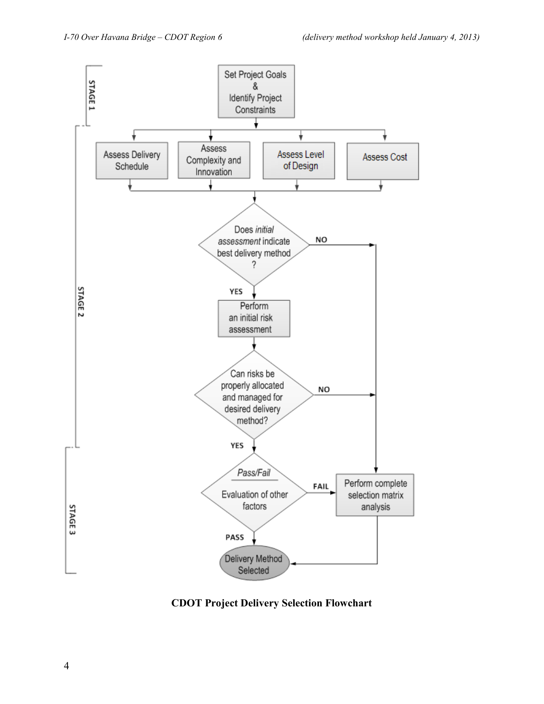

**CDOT Project Delivery Selection Flowchart**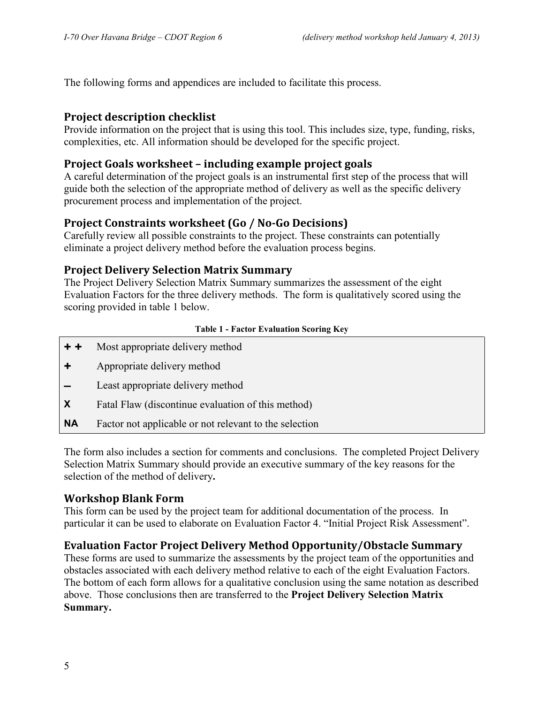The following forms and appendices are included to facilitate this process.

## **Project description checklist**

Provide information on the project that is using this tool. This includes size, type, funding, risks, complexities, etc. All information should be developed for the specific project.

## **Project Goals worksheet – including example project goals**

A careful determination of the project goals is an instrumental first step of the process that will guide both the selection of the appropriate method of delivery as well as the specific delivery procurement process and implementation of the project.

## **Project Constraints worksheet (Go / No-Go Decisions)**

Carefully review all possible constraints to the project. These constraints can potentially eliminate a project delivery method before the evaluation process begins.

## **Project Delivery Selection Matrix Summary**

The Project Delivery Selection Matrix Summary summarizes the assessment of the eight Evaluation Factors for the three delivery methods. The form is qualitatively scored using the scoring provided in table 1 below.

#### **Table 1 - Factor Evaluation Scoring Key**

- **+ +** Most appropriate delivery method
- **+** Appropriate delivery method
- **–** Least appropriate delivery method
- **X** Fatal Flaw (discontinue evaluation of this method)
- **NA** Factor not applicable or not relevant to the selection

The form also includes a section for comments and conclusions.The completed Project Delivery Selection Matrix Summary should provide an executive summary of the key reasons for the selection of the method of delivery**.**

## **Workshop Blank Form**

This form can be used by the project team for additional documentation of the process. In particular it can be used to elaborate on Evaluation Factor 4. "Initial Project Risk Assessment".

## **Evaluation Factor Project Delivery Method Opportunity/Obstacle Summary**

These forms are used to summarize the assessments by the project team of the opportunities and obstacles associated with each delivery method relative to each of the eight Evaluation Factors. The bottom of each form allows for a qualitative conclusion using the same notation as described above. Those conclusions then are transferred to the **Project Delivery Selection Matrix Summary.**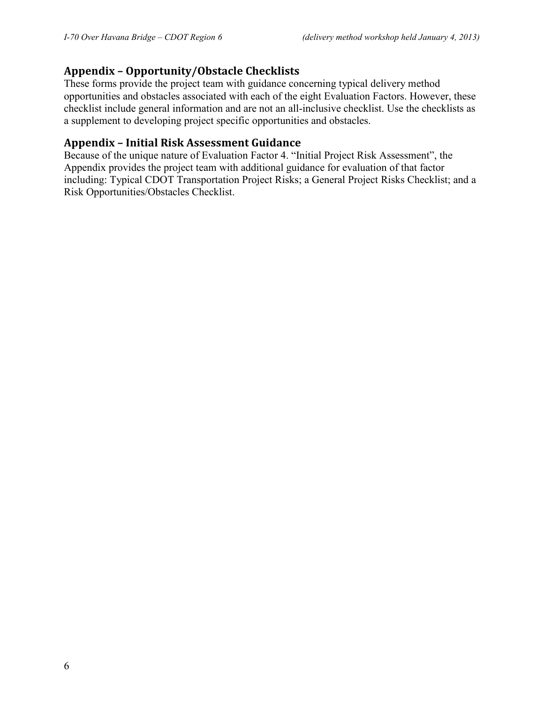## **Appendix – Opportunity/Obstacle Checklists**

These forms provide the project team with guidance concerning typical delivery method opportunities and obstacles associated with each of the eight Evaluation Factors. However, these checklist include general information and are not an all-inclusive checklist. Use the checklists as a supplement to developing project specific opportunities and obstacles.

## **Appendix – Initial Risk Assessment Guidance**

Because of the unique nature of Evaluation Factor 4. "Initial Project Risk Assessment", the Appendix provides the project team with additional guidance for evaluation of that factor including: Typical CDOT Transportation Project Risks; a General Project Risks Checklist; and a Risk Opportunities/Obstacles Checklist.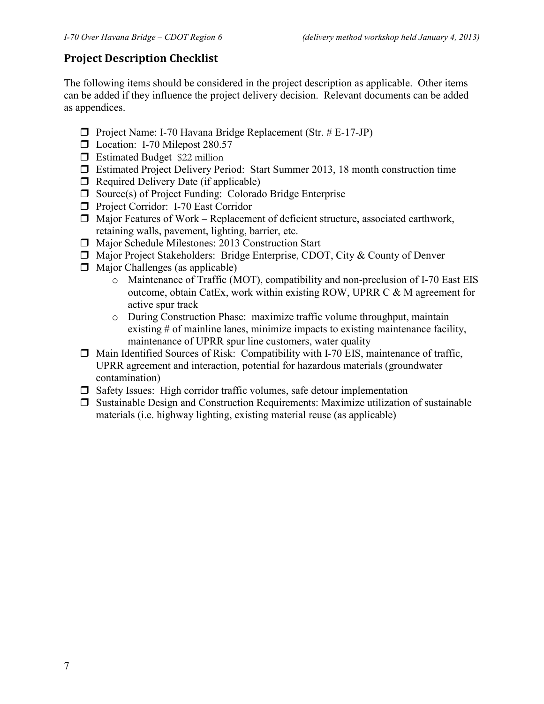## **Project Description Checklist**

The following items should be considered in the project description as applicable. Other items can be added if they influence the project delivery decision. Relevant documents can be added as appendices.

- **Project Name: I-70 Havana Bridge Replacement (Str. # E-17-JP)**
- □ Location: I-70 Milepost 280.57
- **Estimated Budget \$22 million**
- Estimated Project Delivery Period: Start Summer 2013, 18 month construction time
- $\Box$  Required Delivery Date (if applicable)
- $\Box$  Source(s) of Project Funding: Colorado Bridge Enterprise
- **Project Corridor: I-70 East Corridor**
- $\Box$  Major Features of Work Replacement of deficient structure, associated earthwork, retaining walls, pavement, lighting, barrier, etc.
- Major Schedule Milestones: 2013 Construction Start
- □ Major Project Stakeholders: Bridge Enterprise, CDOT, City & County of Denver
- $\Box$  Major Challenges (as applicable)
	- o Maintenance of Traffic (MOT), compatibility and non-preclusion of I-70 East EIS outcome, obtain CatEx, work within existing ROW, UPRR C & M agreement for active spur track
	- o During Construction Phase: maximize traffic volume throughput, maintain existing # of mainline lanes, minimize impacts to existing maintenance facility, maintenance of UPRR spur line customers, water quality
- $\Box$  Main Identified Sources of Risk: Compatibility with I-70 EIS, maintenance of traffic, UPRR agreement and interaction, potential for hazardous materials (groundwater contamination)
- $\Box$  Safety Issues: High corridor traffic volumes, safe detour implementation
- $\Box$  Sustainable Design and Construction Requirements: Maximize utilization of sustainable materials (i.e. highway lighting, existing material reuse (as applicable)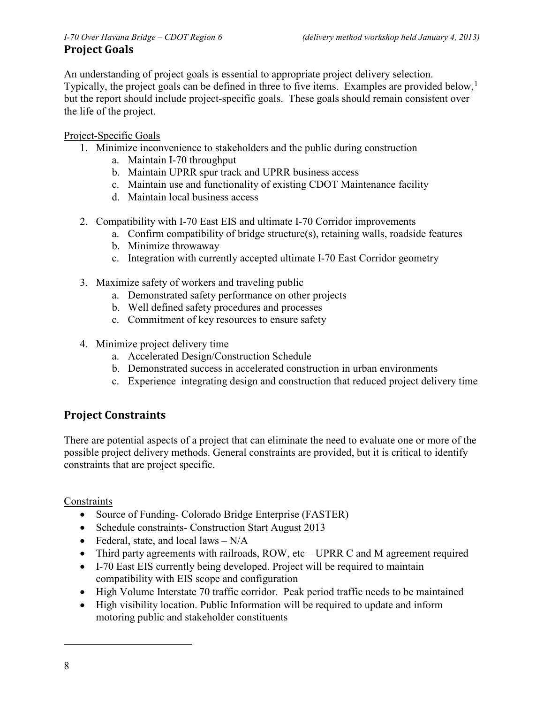# **Project Goals**

An understanding of project goals is essential to appropriate project delivery selection. Typically, the project goals can be defined in three to five items. Examples are provided below,<sup>[1](#page-7-0)</sup> but the report should include project-specific goals. These goals should remain consistent over the life of the project.

## Project-Specific Goals

- 1. Minimize inconvenience to stakeholders and the public during construction
	- a. Maintain I-70 throughput
	- b. Maintain UPRR spur track and UPRR business access
	- c. Maintain use and functionality of existing CDOT Maintenance facility
	- d. Maintain local business access
- 2. Compatibility with I-70 East EIS and ultimate I-70 Corridor improvements
	- a. Confirm compatibility of bridge structure(s), retaining walls, roadside features
	- b. Minimize throwaway
	- c. Integration with currently accepted ultimate I-70 East Corridor geometry
- 3. Maximize safety of workers and traveling public
	- a. Demonstrated safety performance on other projects
	- b. Well defined safety procedures and processes
	- c. Commitment of key resources to ensure safety
- 4. Minimize project delivery time
	- a. Accelerated Design/Construction Schedule
	- b. Demonstrated success in accelerated construction in urban environments
	- c. Experience integrating design and construction that reduced project delivery time

## **Project Constraints**

There are potential aspects of a project that can eliminate the need to evaluate one or more of the possible project delivery methods. General constraints are provided, but it is critical to identify constraints that are project specific.

## **Constraints**

- Source of Funding- Colorado Bridge Enterprise (FASTER)
- Schedule constraints- Construction Start August 2013
- Federal, state, and local laws  $N/A$
- Third party agreements with railroads, ROW, etc UPRR C and M agreement required
- I-70 East EIS currently being developed. Project will be required to maintain compatibility with EIS scope and configuration
- High Volume Interstate 70 traffic corridor. Peak period traffic needs to be maintained
- High visibility location. Public Information will be required to update and inform motoring public and stakeholder constituents

<span id="page-7-0"></span> $\overline{a}$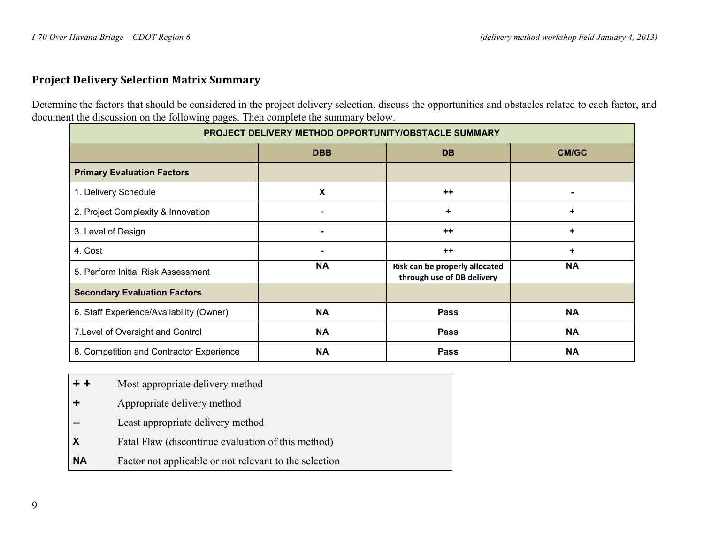## **Project Delivery Selection Matrix Summary**

Determine the factors that should be considered in the project delivery selection, discuss the opportunities and obstacles related to each factor, and document the discussion on the following pages. Then complete the summary below.

| PROJECT DELIVERY METHOD OPPORTUNITY/OBSTACLE SUMMARY |                |                                                              |           |
|------------------------------------------------------|----------------|--------------------------------------------------------------|-----------|
|                                                      | <b>DBB</b>     | <b>DB</b>                                                    | CM/GC     |
| <b>Primary Evaluation Factors</b>                    |                |                                                              |           |
| 1. Delivery Schedule                                 | X              | $++$                                                         |           |
| 2. Project Complexity & Innovation                   | $\blacksquare$ | ٠                                                            | ٠         |
| 3. Level of Design                                   | $\blacksquare$ | $++$                                                         | ٠         |
| 4. Cost                                              |                | $++$                                                         | ٠         |
| 5. Perform Initial Risk Assessment                   | <b>NA</b>      | Risk can be properly allocated<br>through use of DB delivery | <b>NA</b> |
| <b>Secondary Evaluation Factors</b>                  |                |                                                              |           |
| 6. Staff Experience/Availability (Owner)             | <b>NA</b>      | <b>Pass</b>                                                  | <b>NA</b> |
| 7. Level of Oversight and Control                    | <b>NA</b>      | Pass                                                         | <b>NA</b> |
| 8. Competition and Contractor Experience             | <b>NA</b>      | <b>Pass</b>                                                  | <b>NA</b> |

- **+ +** Most appropriate delivery method
- **+** Appropriate delivery method
- **–** Least appropriate delivery method
- **X Fatal Flaw (discontinue evaluation of this method)**
- **NA** Factor not applicable or not relevant to the selection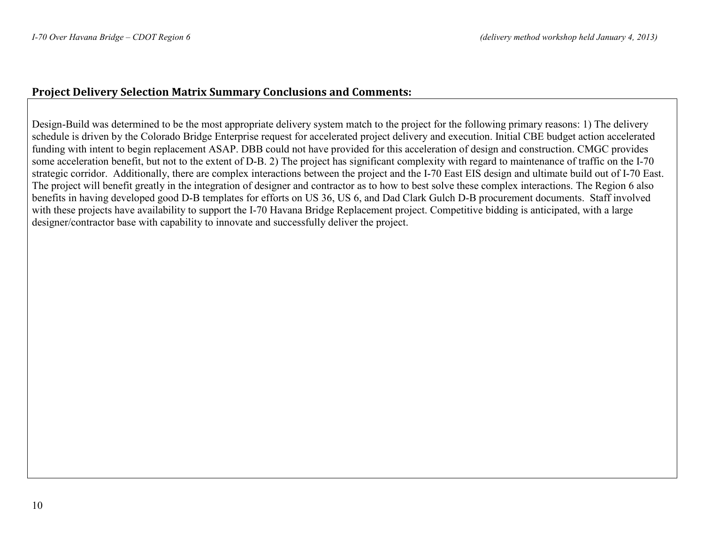## **Project Delivery Selection Matrix Summary Conclusions and Comments:**

Design-Build was determined to be the most appropriate delivery system match to the project for the following primary reasons: 1) The delivery schedule is driven by the Colorado Bridge Enterprise request for accelerated project delivery and execution. Initial CBE budget action accelerated funding with intent to begin replacement ASAP. DBB could not have provided for this acceleration of design and construction. CMGC provides some acceleration benefit, but not to the extent of D-B. 2) The project has significant complexity with regard to maintenance of traffic on the I-70 strategic corridor. Additionally, there are complex interactions between the project and the I-70 East EIS design and ultimate build out of I-70 East. The project will benefit greatly in the integration of designer and contractor as to how to best solve these complex interactions. The Region 6 also benefits in having developed good D-B templates for efforts on US 36, US 6, and Dad Clark Gulch D-B procurement documents. Staff involved with these projects have availability to support the I-70 Havana Bridge Replacement project. Competitive bidding is anticipated, with a large designer/contractor base with capability to innovate and successfully deliver the project.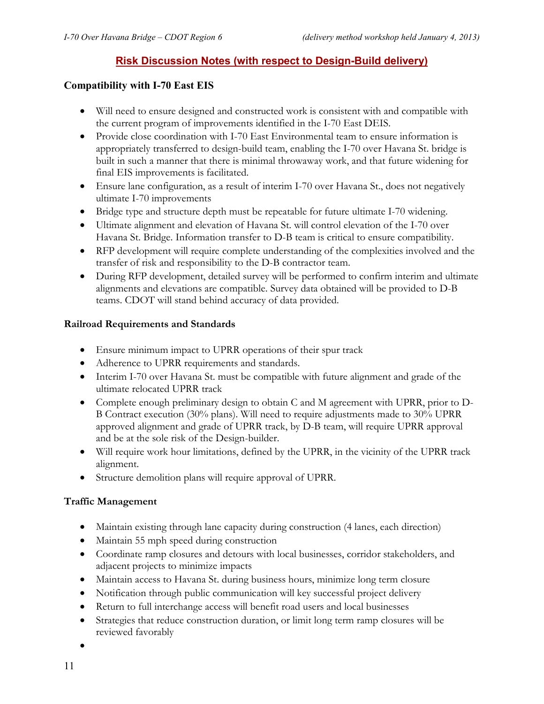## **Risk Discussion Notes (with respect to Design-Build delivery)**

#### **Compatibility with I-70 East EIS**

- Will need to ensure designed and constructed work is consistent with and compatible with the current program of improvements identified in the I-70 East DEIS.
- Provide close coordination with I-70 East Environmental team to ensure information is appropriately transferred to design-build team, enabling the I-70 over Havana St. bridge is built in such a manner that there is minimal throwaway work, and that future widening for final EIS improvements is facilitated.
- Ensure lane configuration, as a result of interim I-70 over Havana St., does not negatively ultimate I-70 improvements
- Bridge type and structure depth must be repeatable for future ultimate I-70 widening.
- Ultimate alignment and elevation of Havana St. will control elevation of the I-70 over Havana St. Bridge. Information transfer to D-B team is critical to ensure compatibility.
- RFP development will require complete understanding of the complexities involved and the transfer of risk and responsibility to the D-B contractor team.
- During RFP development, detailed survey will be performed to confirm interim and ultimate alignments and elevations are compatible. Survey data obtained will be provided to D-B teams. CDOT will stand behind accuracy of data provided.

#### **Railroad Requirements and Standards**

- Ensure minimum impact to UPRR operations of their spur track
- Adherence to UPRR requirements and standards.
- Interim I-70 over Havana St. must be compatible with future alignment and grade of the ultimate relocated UPRR track
- Complete enough preliminary design to obtain C and M agreement with UPRR, prior to D-B Contract execution (30% plans). Will need to require adjustments made to 30% UPRR approved alignment and grade of UPRR track, by D-B team, will require UPRR approval and be at the sole risk of the Design-builder.
- Will require work hour limitations, defined by the UPRR, in the vicinity of the UPRR track alignment.
- Structure demolition plans will require approval of UPRR.

#### **Traffic Management**

- Maintain existing through lane capacity during construction (4 lanes, each direction)
- Maintain 55 mph speed during construction
- Coordinate ramp closures and detours with local businesses, corridor stakeholders, and adjacent projects to minimize impacts
- Maintain access to Havana St. during business hours, minimize long term closure
- Notification through public communication will key successful project delivery
- Return to full interchange access will benefit road users and local businesses
- Strategies that reduce construction duration, or limit long term ramp closures will be reviewed favorably
- •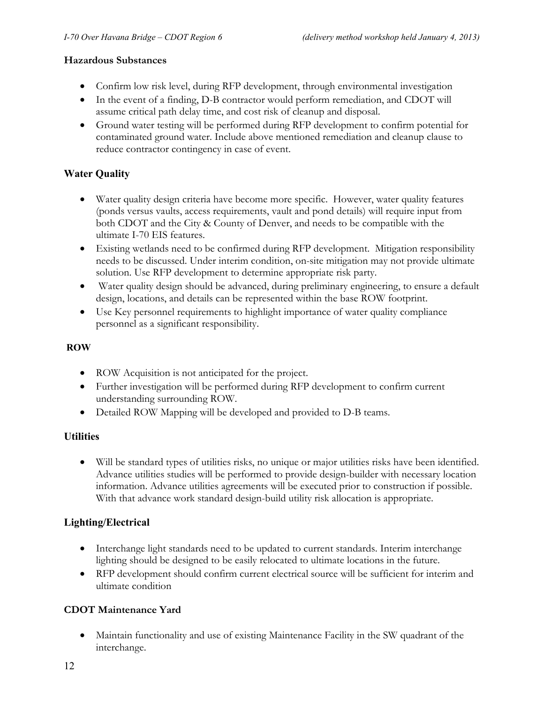#### **Hazardous Substances**

- Confirm low risk level, during RFP development, through environmental investigation
- In the event of a finding, D-B contractor would perform remediation, and CDOT will assume critical path delay time, and cost risk of cleanup and disposal.
- Ground water testing will be performed during RFP development to confirm potential for contaminated ground water. Include above mentioned remediation and cleanup clause to reduce contractor contingency in case of event.

#### **Water Quality**

- Water quality design criteria have become more specific. However, water quality features (ponds versus vaults, access requirements, vault and pond details) will require input from both CDOT and the City & County of Denver, and needs to be compatible with the ultimate I-70 EIS features.
- Existing wetlands need to be confirmed during RFP development. Mitigation responsibility needs to be discussed. Under interim condition, on-site mitigation may not provide ultimate solution. Use RFP development to determine appropriate risk party.
- Water quality design should be advanced, during preliminary engineering, to ensure a default design, locations, and details can be represented within the base ROW footprint.
- Use Key personnel requirements to highlight importance of water quality compliance personnel as a significant responsibility.

#### **ROW**

- ROW Acquisition is not anticipated for the project.
- Further investigation will be performed during RFP development to confirm current understanding surrounding ROW.
- Detailed ROW Mapping will be developed and provided to D-B teams.

## **Utilities**

• Will be standard types of utilities risks, no unique or major utilities risks have been identified. Advance utilities studies will be performed to provide design-builder with necessary location information. Advance utilities agreements will be executed prior to construction if possible. With that advance work standard design-build utility risk allocation is appropriate.

## **Lighting/Electrical**

- Interchange light standards need to be updated to current standards. Interim interchange lighting should be designed to be easily relocated to ultimate locations in the future.
- RFP development should confirm current electrical source will be sufficient for interim and ultimate condition

## **CDOT Maintenance Yard**

• Maintain functionality and use of existing Maintenance Facility in the SW quadrant of the interchange.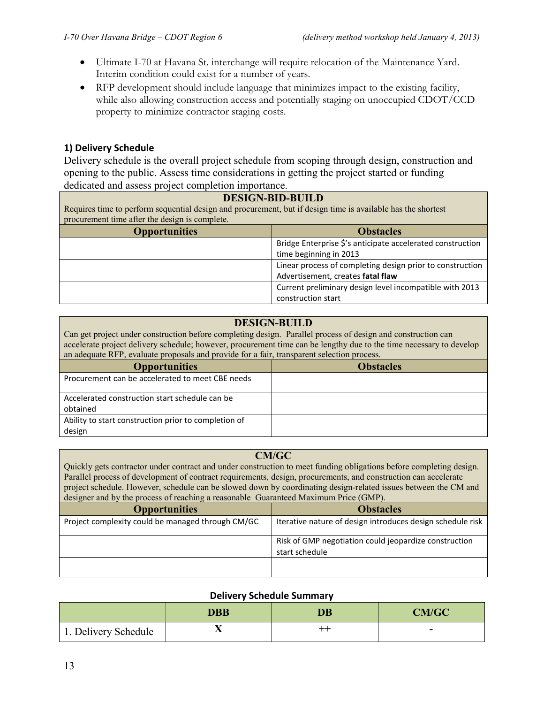- Ultimate I-70 at Havana St. interchange will require relocation of the Maintenance Yard. Interim condition could exist for a number of years.
- RFP development should include language that minimizes impact to the existing facility, while also allowing construction access and potentially staging on unoccupied CDOT/CCD property to minimize contractor staging costs.

#### **1) Delivery Schedule**

Delivery schedule is the overall project schedule from scoping through design, construction and opening to the public. Assess time considerations in getting the project started or funding dedicated and assess project completion importance.

#### **DESIGN-BID-BUILD**

Requires time to perform sequential design and procurement, but if design time is available has the shortest procurement time after the design is complete.

| <b>Opportunities</b> | <b>Obstacles</b>                                           |
|----------------------|------------------------------------------------------------|
|                      | Bridge Enterprise \$'s anticipate accelerated construction |
|                      | time beginning in 2013                                     |
|                      | Linear process of completing design prior to construction  |
|                      | Advertisement, creates fatal flaw                          |
|                      | Current preliminary design level incompatible with 2013    |
|                      | construction start                                         |

### **DESIGN-BUILD**

Can get project under construction before completing design. Parallel process of design and construction can accelerate project delivery schedule; however, procurement time can be lengthy due to the time necessary to develop an adequate RFP, evaluate proposals and provide for a fair, transparent selection process.

| <b>Opportunities</b>                                 | <b>Obstacles</b> |
|------------------------------------------------------|------------------|
| Procurement can be accelerated to meet CBE needs     |                  |
| Accelerated construction start schedule can be       |                  |
| obtained                                             |                  |
| Ability to start construction prior to completion of |                  |
| design                                               |                  |

#### **CM/GC**

Quickly gets contractor under contract and under construction to meet funding obligations before completing design. Parallel process of development of contract requirements, design, procurements, and construction can accelerate project schedule. However, schedule can be slowed down by coordinating design-related issues between the CM and designer and by the process of reaching a reasonable Guaranteed Maximum Price (GMP).

| <b>Opportunities</b>                              | <b>Obstacles</b>                                                        |
|---------------------------------------------------|-------------------------------------------------------------------------|
| Project complexity could be managed through CM/GC | Iterative nature of design introduces design schedule risk              |
|                                                   | Risk of GMP negotiation could jeopardize construction<br>start schedule |
|                                                   |                                                                         |

#### **Delivery Schedule Summary**

|                      | <b>DBB</b> | $\overline{\mathbf{D}}\overline{\mathbf{B}}$ | CM/GC |
|----------------------|------------|----------------------------------------------|-------|
| 1. Delivery Schedule | . .        | $^{\rm + +}$                                 | -     |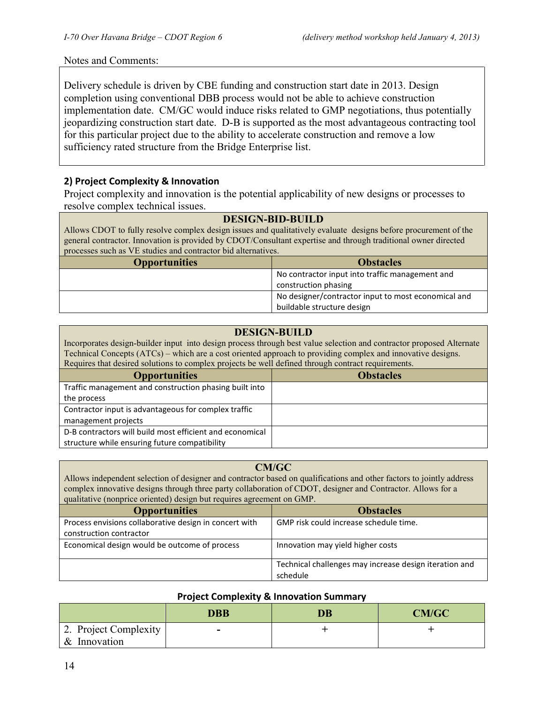#### Notes and Comments:

Delivery schedule is driven by CBE funding and construction start date in 2013. Design completion using conventional DBB process would not be able to achieve construction implementation date. CM/GC would induce risks related to GMP negotiations, thus potentially jeopardizing construction start date. D-B is supported as the most advantageous contracting tool for this particular project due to the ability to accelerate construction and remove a low sufficiency rated structure from the Bridge Enterprise list.

### **2) Project Complexity & Innovation**

Project complexity and innovation is the potential applicability of new designs or processes to resolve complex technical issues.

#### **DESIGN-BID-BUILD**

Allows CDOT to fully resolve complex design issues and qualitatively evaluate designs before procurement of the general contractor. Innovation is provided by CDOT/Consultant expertise and through traditional owner directed processes such as VE studies and contractor bid alternatives.

| <b>Opportunities</b> | <b>Obstacles</b>                                    |
|----------------------|-----------------------------------------------------|
|                      | No contractor input into traffic management and     |
|                      | construction phasing                                |
|                      | No designer/contractor input to most economical and |
|                      | buildable structure design                          |

#### **DESIGN-BUILD**

Incorporates design-builder input into design process through best value selection and contractor proposed Alternate Technical Concepts (ATCs) – which are a cost oriented approach to providing complex and innovative designs. Requires that desired solutions to complex projects be well defined through contract requirements.

| required that acon ca bordinons to complex projects oc wen achined through contract requirements. |                  |  |
|---------------------------------------------------------------------------------------------------|------------------|--|
| <b>Opportunities</b>                                                                              | <b>Obstacles</b> |  |
| Traffic management and construction phasing built into                                            |                  |  |
| the process                                                                                       |                  |  |
| Contractor input is advantageous for complex traffic                                              |                  |  |
| management projects                                                                               |                  |  |
| D-B contractors will build most efficient and economical                                          |                  |  |
| structure while ensuring future compatibility                                                     |                  |  |

#### **CM/GC**

Allows independent selection of designer and contractor based on qualifications and other factors to jointly address complex innovative designs through three party collaboration of CDOT, designer and Contractor. Allows for a qualitative (nonprice oriented) design but requires agreement on GMP.

| <b>Opportunities</b>                                   | <b>Obstacles</b>                                       |
|--------------------------------------------------------|--------------------------------------------------------|
| Process envisions collaborative design in concert with | GMP risk could increase schedule time.                 |
| construction contractor                                |                                                        |
| Economical design would be outcome of process          | Innovation may yield higher costs                      |
|                                                        | Technical challenges may increase design iteration and |
|                                                        | schedule                                               |

#### **Project Complexity & Innovation Summary**

|                       | DBB | <b>DB</b> | <b>CM/GC</b> |
|-----------------------|-----|-----------|--------------|
| 2. Project Complexity | -   |           |              |
| & Innovation          |     |           |              |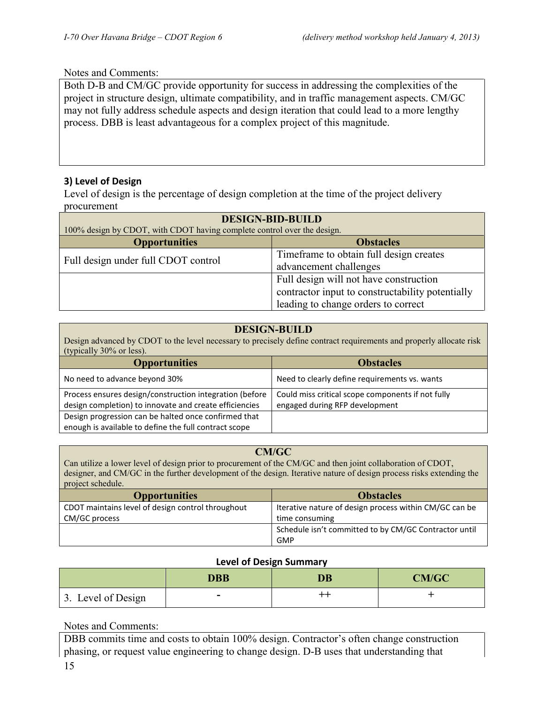#### Notes and Comments:

Both D-B and CM/GC provide opportunity for success in addressing the complexities of the project in structure design, ultimate compatibility, and in traffic management aspects. CM/GC may not fully address schedule aspects and design iteration that could lead to a more lengthy process. DBB is least advantageous for a complex project of this magnitude.

#### **3) Level of Design**

Level of design is the percentage of design completion at the time of the project delivery procurement

| <b>DESIGN-BID-BUILD</b><br>100% design by CDOT, with CDOT having complete control over the design. |                                                  |  |
|----------------------------------------------------------------------------------------------------|--------------------------------------------------|--|
| <b>Opportunities</b>                                                                               | <b>Obstacles</b>                                 |  |
| Full design under full CDOT control                                                                | Time frame to obtain full design creates         |  |
|                                                                                                    | advancement challenges                           |  |
|                                                                                                    | Full design will not have construction           |  |
|                                                                                                    | contractor input to constructability potentially |  |
|                                                                                                    | leading to change orders to correct              |  |

#### **DESIGN-BUILD**

Design advanced by CDOT to the level necessary to precisely define contract requirements and properly allocate risk (typically 30% or less).

| <b>Opportunities</b>                                                                                              | <b>Obstacles</b>                                                                    |
|-------------------------------------------------------------------------------------------------------------------|-------------------------------------------------------------------------------------|
| No need to advance beyond 30%                                                                                     | Need to clearly define requirements vs. wants                                       |
| Process ensures design/construction integration (before<br>design completion) to innovate and create efficiencies | Could miss critical scope components if not fully<br>engaged during RFP development |
| Design progression can be halted once confirmed that<br>enough is available to define the full contract scope     |                                                                                     |

#### **CM/GC**

Can utilize a lower level of design prior to procurement of the CM/GC and then joint collaboration of CDOT, designer, and CM/GC in the further development of the design. Iterative nature of design process risks extending the project schedule.

| <b>Opportunities</b>                              | <b>Obstacles</b>                                       |
|---------------------------------------------------|--------------------------------------------------------|
| CDOT maintains level of design control throughout | Iterative nature of design process within CM/GC can be |
| CM/GC process                                     | time consuming                                         |
|                                                   | Schedule isn't committed to by CM/GC Contractor until  |
|                                                   | GMP                                                    |

#### **Level of Design Summary**

|                    | <b>DBB</b> | DB | CM/GC |
|--------------------|------------|----|-------|
| 3. Level of Design | -          | ++ |       |

Notes and Comments:

DBB commits time and costs to obtain 100% design. Contractor's often change construction phasing, or request value engineering to change design. D-B uses that understanding that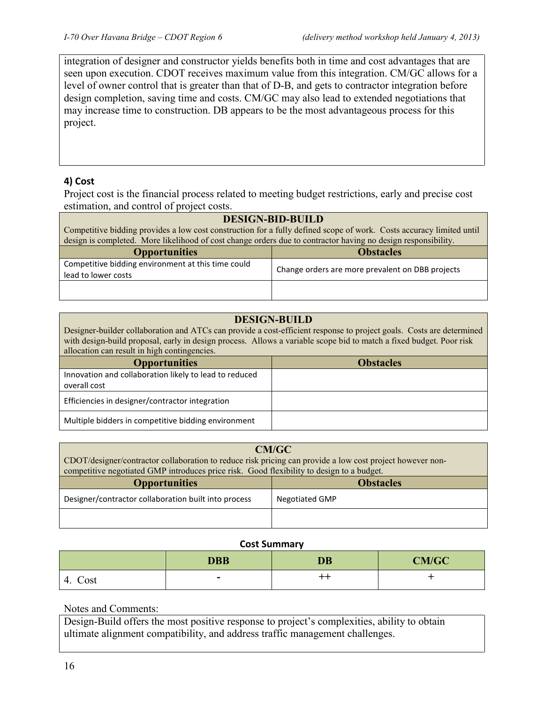integration of designer and constructor yields benefits both in time and cost advantages that are seen upon execution. CDOT receives maximum value from this integration. CM/GC allows for a level of owner control that is greater than that of D-B, and gets to contractor integration before design completion, saving time and costs. CM/GC may also lead to extended negotiations that may increase time to construction. DB appears to be the most advantageous process for this project.

## **4) Cost**

Project cost is the financial process related to meeting budget restrictions, early and precise cost estimation, and control of project costs.

| <b>DESIGN-BID-BUILD</b>                                                                                              |                                                  |  |
|----------------------------------------------------------------------------------------------------------------------|--------------------------------------------------|--|
| Competitive bidding provides a low cost construction for a fully defined scope of work. Costs accuracy limited until |                                                  |  |
| design is completed. More likelihood of cost change orders due to contractor having no design responsibility.        |                                                  |  |
| <b>Opportunities</b>                                                                                                 | <b>Obstacles</b>                                 |  |
| Competitive bidding environment at this time could                                                                   | Change orders are more prevalent on DBB projects |  |
| lead to lower costs                                                                                                  |                                                  |  |
|                                                                                                                      |                                                  |  |
|                                                                                                                      |                                                  |  |

#### **DESIGN-BUILD**

Designer-builder collaboration and ATCs can provide a cost-efficient response to project goals. Costs are determined with design-build proposal, early in design process. Allows a variable scope bid to match a fixed budget. Poor risk allocation can result in high contingencies.

| <b>Opportunities</b>                                   | <b>Obstacles</b> |
|--------------------------------------------------------|------------------|
| Innovation and collaboration likely to lead to reduced |                  |
| overall cost                                           |                  |
| Efficiencies in designer/contractor integration        |                  |
| Multiple bidders in competitive bidding environment    |                  |

| CM/GC<br>CDOT/designer/contractor collaboration to reduce risk pricing can provide a low cost project however non-<br>competitive negotiated GMP introduces price risk. Good flexibility to design to a budget. |                       |  |
|-----------------------------------------------------------------------------------------------------------------------------------------------------------------------------------------------------------------|-----------------------|--|
| <b>Opportunities</b>                                                                                                                                                                                            | <b>Obstacles</b>      |  |
| Designer/contractor collaboration built into process                                                                                                                                                            | <b>Negotiated GMP</b> |  |
|                                                                                                                                                                                                                 |                       |  |

#### **Cost Summary**

|            | <b>DBB</b> | <b>DB</b>   | <b>CM/GC</b> |
|------------|------------|-------------|--------------|
| Cost<br>4. | -          | $^{\rm ++}$ |              |

#### Notes and Comments:

Design-Build offers the most positive response to project's complexities, ability to obtain ultimate alignment compatibility, and address traffic management challenges.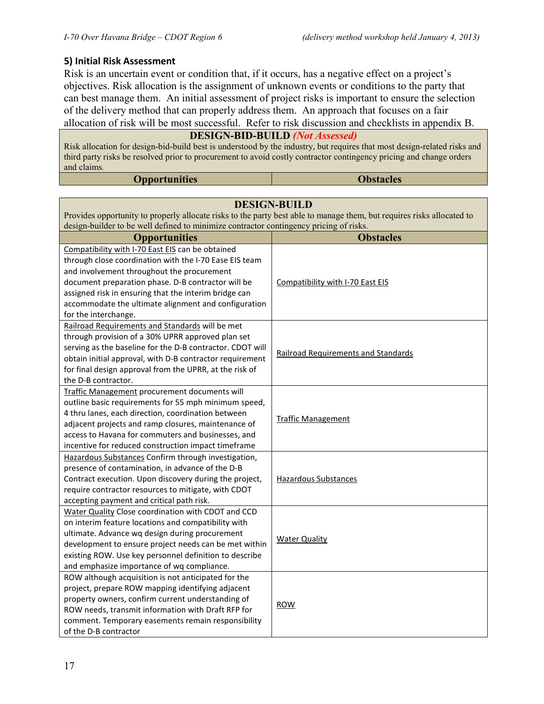#### **5) Initial Risk Assessment**

Risk is an uncertain event or condition that, if it occurs, has a negative effect on a project's objectives. Risk allocation is the assignment of unknown events or conditions to the party that can best manage them. An initial assessment of project risks is important to ensure the selection of the delivery method that can properly address them. An approach that focuses on a fair allocation of risk will be most successful. Refer to risk discussion and checklists in appendix B.

## **DESIGN-BID-BUILD** *(Not Assessed)*

Risk allocation for design-bid-build best is understood by the industry, but requires that most design-related risks and third party risks be resolved prior to procurement to avoid costly contractor contingency pricing and change orders and claims.

|  | <b>Opportunities</b> | <b>Obstacles</b> |
|--|----------------------|------------------|
|--|----------------------|------------------|

| <b>DESIGN-BUILD</b>                                                                                                    |                                            |  |  |
|------------------------------------------------------------------------------------------------------------------------|--------------------------------------------|--|--|
| Provides opportunity to properly allocate risks to the party best able to manage them, but requires risks allocated to |                                            |  |  |
| design-builder to be well defined to minimize contractor contingency pricing of risks.                                 |                                            |  |  |
| <b>Opportunities</b>                                                                                                   | <b>Obstacles</b>                           |  |  |
| Compatibility with I-70 East EIS can be obtained                                                                       |                                            |  |  |
| through close coordination with the I-70 Ease EIS team                                                                 |                                            |  |  |
| and involvement throughout the procurement                                                                             |                                            |  |  |
| document preparation phase. D-B contractor will be                                                                     | Compatibility with I-70 East EIS           |  |  |
| assigned risk in ensuring that the interim bridge can                                                                  |                                            |  |  |
| accommodate the ultimate alignment and configuration                                                                   |                                            |  |  |
| for the interchange.                                                                                                   |                                            |  |  |
| Railroad Requirements and Standards will be met                                                                        |                                            |  |  |
| through provision of a 30% UPRR approved plan set                                                                      |                                            |  |  |
| serving as the baseline for the D-B contractor. CDOT will                                                              | <b>Railroad Requirements and Standards</b> |  |  |
| obtain initial approval, with D-B contractor requirement                                                               |                                            |  |  |
| for final design approval from the UPRR, at the risk of                                                                |                                            |  |  |
| the D-B contractor.                                                                                                    |                                            |  |  |
| Traffic Management procurement documents will                                                                          |                                            |  |  |
| outline basic requirements for 55 mph minimum speed,                                                                   |                                            |  |  |
| 4 thru lanes, each direction, coordination between                                                                     | <b>Traffic Management</b>                  |  |  |
| adjacent projects and ramp closures, maintenance of                                                                    |                                            |  |  |
| access to Havana for commuters and businesses, and                                                                     |                                            |  |  |
| incentive for reduced construction impact timeframe                                                                    |                                            |  |  |
| Hazardous Substances Confirm through investigation,                                                                    |                                            |  |  |
| presence of contamination, in advance of the D-B                                                                       |                                            |  |  |
| Contract execution. Upon discovery during the project,                                                                 | <b>Hazardous Substances</b>                |  |  |
| require contractor resources to mitigate, with CDOT                                                                    |                                            |  |  |
| accepting payment and critical path risk.                                                                              |                                            |  |  |
| Water Quality Close coordination with CDOT and CCD                                                                     |                                            |  |  |
| on interim feature locations and compatibility with                                                                    |                                            |  |  |
| ultimate. Advance wq design during procurement                                                                         | <b>Water Quality</b>                       |  |  |
| development to ensure project needs can be met within                                                                  |                                            |  |  |
| existing ROW. Use key personnel definition to describe                                                                 |                                            |  |  |
| and emphasize importance of wq compliance.                                                                             |                                            |  |  |
| ROW although acquisition is not anticipated for the                                                                    |                                            |  |  |
| project, prepare ROW mapping identifying adjacent                                                                      |                                            |  |  |
| property owners, confirm current understanding of                                                                      | <b>ROW</b>                                 |  |  |
| ROW needs, transmit information with Draft RFP for                                                                     |                                            |  |  |
| comment. Temporary easements remain responsibility                                                                     |                                            |  |  |
| of the D-B contractor                                                                                                  |                                            |  |  |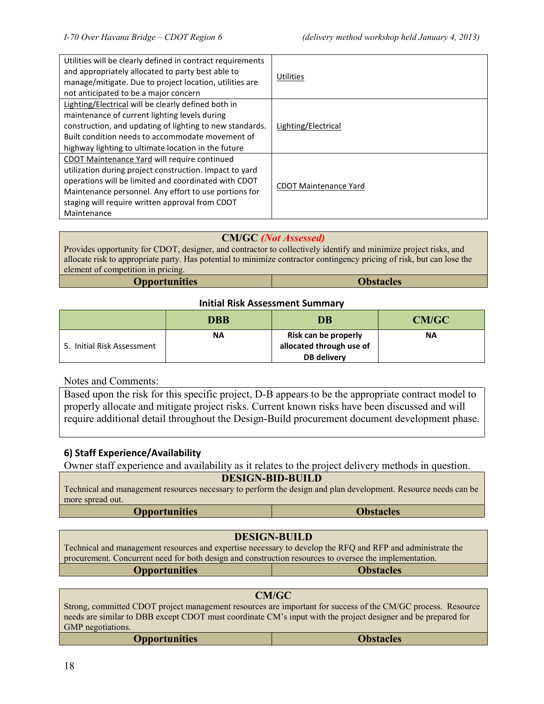| Utilities will be clearly defined in contract requirements<br>and appropriately allocated to party best able to<br>manage/mitigate. Due to project location, utilities are<br>not anticipated to be a major concern                                                                        | Utilities                    |
|--------------------------------------------------------------------------------------------------------------------------------------------------------------------------------------------------------------------------------------------------------------------------------------------|------------------------------|
| Lighting/Electrical will be clearly defined both in<br>maintenance of current lighting levels during<br>construction, and updating of lighting to new standards.<br>Built condition needs to accommodate movement of<br>highway lighting to ultimate location in the future                | Lighting/Electrical          |
| CDOT Maintenance Yard will require continued<br>utilization during project construction. Impact to yard<br>operations will be limited and coordinated with CDOT<br>Maintenance personnel. Any effort to use portions for<br>staging will require written approval from CDOT<br>Maintenance | <b>CDOT Maintenance Yard</b> |

#### **CM/GC** *(Not Assessed)*

Provides opportunity for CDOT, designer, and contractor to collectively identify and minimize project risks, and allocate risk to appropriate party. Has potential to minimize contractor contingency pricing of risk, but can lose the element of competition in pricing.

#### **Initial Risk Assessment Summary**

|                            | DBB       | <b>DB</b>                                        | CM/GC |
|----------------------------|-----------|--------------------------------------------------|-------|
| 5. Initial Risk Assessment | <b>NA</b> | Risk can be properly<br>allocated through use of | ΝA    |
|                            |           | DB delivery                                      |       |

Notes and Comments:

Based upon the risk for this specific project, D-B appears to be the appropriate contract model to properly allocate and mitigate project risks. Current known risks have been discussed and will require additional detail throughout the Design-Build procurement document development phase.

#### **6) Staff Experience/Availability**

Owner staff experience and availability as it relates to the project delivery methods in question.

#### **DESIGN-BID-BUILD**

Technical and management resources necessary to perform the design and plan development. Resource needs can be more spread out. **Opportunities Obstacles**

#### **DESIGN-BUILD**

Technical and management resources and expertise necessary to develop the RFQ and RFP and administrate the procurement. Concurrent need for both design and construction resources to oversee the implementation. **Opportunities Obstacles**

**CM/GC**

Strong, committed CDOT project management resources are important for success of the CM/GC process. Resource needs are similar to DBB except CDOT must coordinate CM's input with the project designer and be prepared for GMP negotiations.

**Opportunities Obstacles**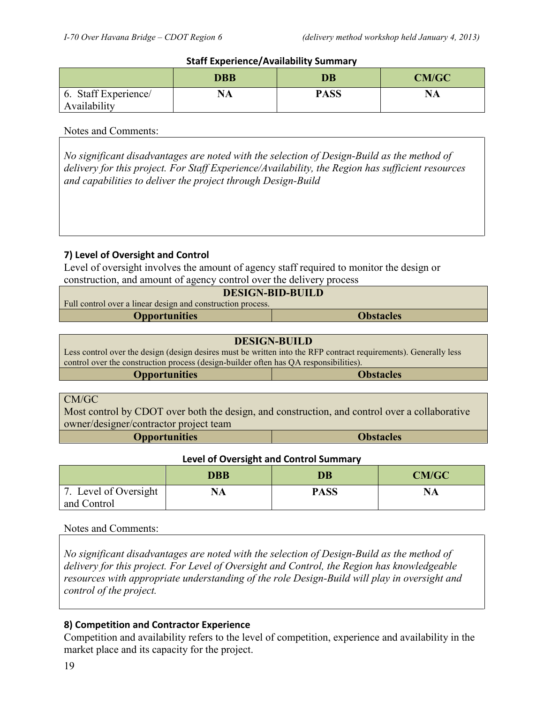#### **Staff Experience/Availability Summary**

|                                         | <b>DBB</b> | DB          | <b>CM/GC</b> |
|-----------------------------------------|------------|-------------|--------------|
| Staff Experience/<br>6.<br>Availability | <b>NA</b>  | <b>PASS</b> | <b>NA</b>    |

#### Notes and Comments:

*No significant disadvantages are noted with the selection of Design-Build as the method of delivery for this project. For Staff Experience/Availability, the Region has sufficient resources and capabilities to deliver the project through Design-Build*

#### **7) Level of Oversight and Control**

Level of oversight involves the amount of agency staff required to monitor the design or construction, and amount of agency control over the delivery process

| <b>DESIGN-BID-BUILD</b>                                     |  |  |
|-------------------------------------------------------------|--|--|
| Full control over a linear design and construction process. |  |  |
| <b>Obstacles</b><br><b>Opportunities</b>                    |  |  |

| <b>DESIGN-BUILD</b>                                                                                                                                                                                       |  |  |
|-----------------------------------------------------------------------------------------------------------------------------------------------------------------------------------------------------------|--|--|
| Less control over the design (design desires must be written into the RFP contract requirements). Generally less<br>control over the construction process (design-builder often has QA responsibilities). |  |  |
| <b>Opportunities</b><br><b>Obstacles</b>                                                                                                                                                                  |  |  |
|                                                                                                                                                                                                           |  |  |

#### CM/GC

Most control by CDOT over both the design, and construction, and control over a collaborative owner/designer/contractor project team

**Opportunities Obstacles**

#### **Level of Oversight and Control Summary**

|                       | <b>DBB</b> | DB          | <b>CM/GC</b> |
|-----------------------|------------|-------------|--------------|
| 7. Level of Oversight | <b>NA</b>  | <b>PASS</b> | <b>NA</b>    |
| and Control           |            |             |              |

#### Notes and Comments:

*No significant disadvantages are noted with the selection of Design-Build as the method of delivery for this project. For Level of Oversight and Control, the Region has knowledgeable resources with appropriate understanding of the role Design-Build will play in oversight and control of the project.*

#### **8) Competition and Contractor Experience**

Competition and availability refers to the level of competition, experience and availability in the market place and its capacity for the project.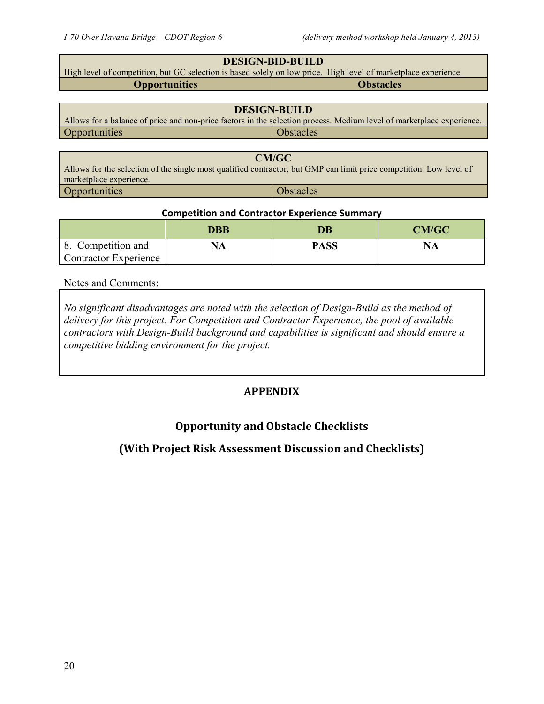Opportunities and Obstacles

| <b>DESIGN-BID-BUILD</b>                                                                                                                        |                                                                                                                       |  |
|------------------------------------------------------------------------------------------------------------------------------------------------|-----------------------------------------------------------------------------------------------------------------------|--|
| High level of competition, but GC selection is based solely on low price. High level of marketplace experience.                                |                                                                                                                       |  |
| <b>Opportunities</b>                                                                                                                           | <b>Obstacles</b>                                                                                                      |  |
|                                                                                                                                                |                                                                                                                       |  |
| <b>DESIGN-BUILD</b>                                                                                                                            |                                                                                                                       |  |
|                                                                                                                                                | Allows for a balance of price and non-price factors in the selection process. Medium level of marketplace experience. |  |
| Opportunities                                                                                                                                  | <b>Obstacles</b>                                                                                                      |  |
|                                                                                                                                                |                                                                                                                       |  |
| <b>CM/GC</b>                                                                                                                                   |                                                                                                                       |  |
| Allows for the selection of the single most qualified contractor, but GMP can limit price competition. Low level of<br>marketplace experience. |                                                                                                                       |  |

#### **Competition and Contractor Experience Summary**

|                                                    | DBB | DB          | <b>CM/GC</b> |  |
|----------------------------------------------------|-----|-------------|--------------|--|
| 8. Competition and<br><b>Contractor Experience</b> | NА  | <b>PASS</b> | <b>NA</b>    |  |

#### Notes and Comments:

*No significant disadvantages are noted with the selection of Design-Build as the method of delivery for this project. For Competition and Contractor Experience, the pool of available contractors with Design-Build background and capabilities is significant and should ensure a competitive bidding environment for the project.*

## **APPENDIX**

## **Opportunity and Obstacle Checklists**

## **(With Project Risk Assessment Discussion and Checklists)**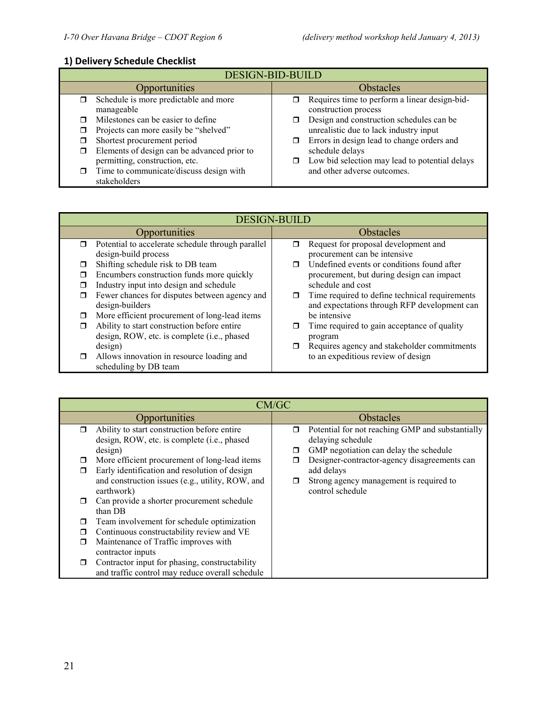## **1) Delivery Schedule Checklist**

| <b>DESIGN-BID-BUILD</b>                                                                                                |                                                                                                                                |  |
|------------------------------------------------------------------------------------------------------------------------|--------------------------------------------------------------------------------------------------------------------------------|--|
| Opportunities                                                                                                          | <b>Obstacles</b>                                                                                                               |  |
| Schedule is more predictable and more<br>σ.<br>manageable                                                              | Requires time to perform a linear design-bid-<br>construction process                                                          |  |
| Milestones can be easier to define<br>Projects can more easily be "shelved"<br>σ.                                      | Design and construction schedules can be<br>unrealistic due to lack industry input                                             |  |
| Shortest procurement period<br>⊓<br>Elements of design can be advanced prior to<br>□<br>permitting, construction, etc. | Errors in design lead to change orders and<br>σ<br>schedule delays<br>Low bid selection may lead to potential delays<br>$\Box$ |  |
| Time to communicate/discuss design with<br>σ.<br>stakeholders                                                          | and other adverse outcomes.                                                                                                    |  |

| <b>DESIGN-BUILD</b> |                                                   |        |                                                |
|---------------------|---------------------------------------------------|--------|------------------------------------------------|
|                     | Opportunities                                     |        | <b>Obstacles</b>                               |
| $\Box$              | Potential to accelerate schedule through parallel | □      | Request for proposal development and           |
|                     | design-build process                              |        | procurement can be intensive                   |
| Π                   | Shifting schedule risk to DB team                 |        | Undefined events or conditions found after     |
| Π                   | Encumbers construction funds more quickly         |        | procurement, but during design can impact      |
| п                   | Industry input into design and schedule           |        | schedule and cost                              |
| □                   | Fewer chances for disputes between agency and     | $\Box$ | Time required to define technical requirements |
|                     | design-builders                                   |        | and expectations through RFP development can   |
| ⊓                   | More efficient procurement of long-lead items     |        | be intensive                                   |
| □                   | Ability to start construction before entire       | п      | Time required to gain acceptance of quality    |
|                     | design, ROW, etc. is complete (i.e., phased       |        | program                                        |
|                     | design)                                           |        | Requires agency and stakeholder commitments    |
| $\Box$              | Allows innovation in resource loading and         |        | to an expeditious review of design             |
|                     | scheduling by DB team                             |        |                                                |

|        | CM/GC                                            |        |                                                  |
|--------|--------------------------------------------------|--------|--------------------------------------------------|
|        | Opportunities                                    |        | Obstacles                                        |
| $\Box$ | Ability to start construction before entire      | $\Box$ | Potential for not reaching GMP and substantially |
|        | design, ROW, etc. is complete (i.e., phased      |        | delaying schedule                                |
|        | design)                                          | $\Box$ | GMP negotiation can delay the schedule           |
| □      | More efficient procurement of long-lead items    |        | Designer-contractor-agency disagreements can     |
| $\Box$ | Early identification and resolution of design    |        | add delays                                       |
|        | and construction issues (e.g., utility, ROW, and | $\Box$ | Strong agency management is required to          |
|        | earthwork)                                       |        | control schedule                                 |
| σ      | Can provide a shorter procurement schedule       |        |                                                  |
|        | than DB                                          |        |                                                  |
| □      | Team involvement for schedule optimization       |        |                                                  |
| □      | Continuous constructability review and VE        |        |                                                  |
| $\Box$ | Maintenance of Traffic improves with             |        |                                                  |
|        | contractor inputs                                |        |                                                  |
| 0      | Contractor input for phasing, constructability   |        |                                                  |
|        | and traffic control may reduce overall schedule  |        |                                                  |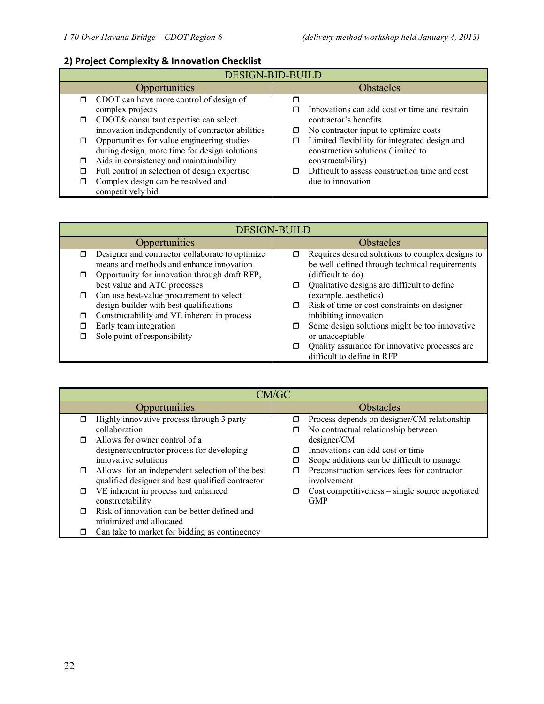## **2) Project Complexity & Innovation Checklist**

|        | <b>DESIGN-BID-BUILD</b>                          |  |                                                |
|--------|--------------------------------------------------|--|------------------------------------------------|
|        | Opportunities                                    |  | <b>Obstacles</b>                               |
|        | $\Box$ CDOT can have more control of design of   |  |                                                |
|        | complex projects                                 |  | Innovations can add cost or time and restrain  |
| $\Box$ | CDOT& consultant expertise can select            |  | contractor's benefits                          |
|        | innovation independently of contractor abilities |  | $\Box$ No contractor input to optimize costs   |
|        | Opportunities for value engineering studies      |  | Limited flexibility for integrated design and  |
|        | during design, more time for design solutions    |  | construction solutions (limited to             |
|        | Aids in consistency and maintainability          |  | constructability)                              |
|        | Full control in selection of design expertise    |  | Difficult to assess construction time and cost |
|        | Complex design can be resolved and               |  | due to innovation                              |
|        | competitively bid                                |  |                                                |

| <b>DESIGN-BUILD</b> |                                                                                             |  |                                                                                                    |
|---------------------|---------------------------------------------------------------------------------------------|--|----------------------------------------------------------------------------------------------------|
|                     | Opportunities                                                                               |  | Obstacles                                                                                          |
|                     | Designer and contractor collaborate to optimize<br>means and methods and enhance innovation |  | Requires desired solutions to complex designs to<br>be well defined through technical requirements |
|                     | Opportunity for innovation through draft RFP,                                               |  | (difficult to do)                                                                                  |
|                     | best value and ATC processes                                                                |  | Qualitative designs are difficult to define                                                        |
| $\Box$              | Can use best-value procurement to select                                                    |  | (example. aesthetics)                                                                              |
|                     | design-builder with best qualifications                                                     |  | Risk of time or cost constraints on designer                                                       |
| П                   | Constructability and VE inherent in process                                                 |  | inhibiting innovation                                                                              |
|                     | Early team integration                                                                      |  | Some design solutions might be too innovative                                                      |
|                     | Sole point of responsibility                                                                |  | or unacceptable                                                                                    |
|                     |                                                                                             |  | Quality assurance for innovative processes are                                                     |
|                     |                                                                                             |  | difficult to define in RFP                                                                         |

| CM/GC                                                                                                                                                                   |                                                                                                                                                                          |  |
|-------------------------------------------------------------------------------------------------------------------------------------------------------------------------|--------------------------------------------------------------------------------------------------------------------------------------------------------------------------|--|
| Opportunities                                                                                                                                                           | <b>Obstacles</b>                                                                                                                                                         |  |
| Highly innovative process through 3 party<br>collaboration<br>Allows for owner control of a<br>designer/contractor process for developing                               | Process depends on designer/CM relationship<br>$\Box$<br>No contractual relationship between<br>σ<br>designer/CM<br>Innovations can add cost or time                     |  |
| innovative solutions<br>Allows for an independent selection of the best<br>□<br>qualified designer and best qualified contractor<br>VE inherent in process and enhanced | Scope additions can be difficult to manage<br>□<br>Preconstruction services fees for contractor<br>involvement<br>$Cost$ competitiveness – single source negotiated<br>п |  |
| constructability<br>Risk of innovation can be better defined and<br>minimized and allocated<br>Can take to market for bidding as contingency                            | <b>GMP</b>                                                                                                                                                               |  |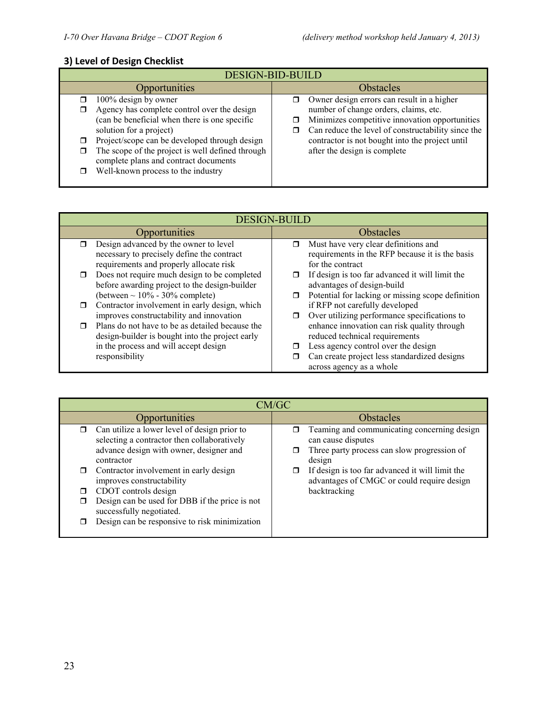## **3) Level of Design Checklist**

| <b>DESIGN-BID-BUILD</b>                                                                                                                                                                                                                                                                                                                  |                                                                                                                                                                                                                                                                                     |  |
|------------------------------------------------------------------------------------------------------------------------------------------------------------------------------------------------------------------------------------------------------------------------------------------------------------------------------------------|-------------------------------------------------------------------------------------------------------------------------------------------------------------------------------------------------------------------------------------------------------------------------------------|--|
| Opportunities                                                                                                                                                                                                                                                                                                                            | <b>Obstacles</b>                                                                                                                                                                                                                                                                    |  |
| 100% design by owner<br>⊓<br>Agency has complete control over the design<br>(can be beneficial when there is one specific<br>solution for a project)<br>Project/scope can be developed through design<br>The scope of the project is well defined through<br>complete plans and contract documents<br>Well-known process to the industry | Owner design errors can result in a higher<br>⊓<br>number of change orders, claims, etc.<br>Minimizes competitive innovation opportunities<br>Can reduce the level of constructability since the<br>contractor is not bought into the project until<br>after the design is complete |  |

| <b>DESIGN-BUILD</b>                                                                                                                                                     |                                                                                                                                                                                                       |  |
|-------------------------------------------------------------------------------------------------------------------------------------------------------------------------|-------------------------------------------------------------------------------------------------------------------------------------------------------------------------------------------------------|--|
| <b>Opportunities</b>                                                                                                                                                    | <b>Obstacles</b>                                                                                                                                                                                      |  |
| Design advanced by the owner to level                                                                                                                                   | Must have very clear definitions and                                                                                                                                                                  |  |
| ⊓                                                                                                                                                                       | ⊓                                                                                                                                                                                                     |  |
| necessary to precisely define the contract                                                                                                                              | requirements in the RFP because it is the basis                                                                                                                                                       |  |
| requirements and properly allocate risk                                                                                                                                 | for the contract                                                                                                                                                                                      |  |
| Does not require much design to be completed                                                                                                                            | If design is too far advanced it will limit the                                                                                                                                                       |  |
| $\Box$                                                                                                                                                                  | advantages of design-build                                                                                                                                                                            |  |
| before awarding project to the design-builder                                                                                                                           | Potential for lacking or missing scope definition                                                                                                                                                     |  |
| (between $\sim 10\%$ - 30% complete)                                                                                                                                    | ⊓                                                                                                                                                                                                     |  |
| Contractor involvement in early design, which                                                                                                                           | if RFP not carefully developed                                                                                                                                                                        |  |
| $\Box$                                                                                                                                                                  | Over utilizing performance specifications to                                                                                                                                                          |  |
| improves constructability and innovation                                                                                                                                | ⊓                                                                                                                                                                                                     |  |
| Plans do not have to be as detailed because the<br>$\Box$<br>design-builder is bought into the project early<br>in the process and will accept design<br>responsibility | enhance innovation can risk quality through<br>reduced technical requirements<br>Less agency control over the design<br>Can create project less standardized designs<br>п<br>across agency as a whole |  |

| CM/GC                                                                                                                                                                                                                                                                                                                                                                              |                                                                                                                                                                                                                                             |  |
|------------------------------------------------------------------------------------------------------------------------------------------------------------------------------------------------------------------------------------------------------------------------------------------------------------------------------------------------------------------------------------|---------------------------------------------------------------------------------------------------------------------------------------------------------------------------------------------------------------------------------------------|--|
| Opportunities                                                                                                                                                                                                                                                                                                                                                                      | <b>Obstacles</b>                                                                                                                                                                                                                            |  |
| Can utilize a lower level of design prior to<br>selecting a contractor then collaboratively<br>advance design with owner, designer and<br>contractor<br>Contractor involvement in early design<br>improves constructability<br>CDOT controls design<br>Design can be used for DBB if the price is not<br>successfully negotiated.<br>Design can be responsive to risk minimization | Teaming and communicating concerning design<br>can cause disputes<br>Three party process can slow progression of<br>design<br>If design is too far advanced it will limit the<br>advantages of CMGC or could require design<br>backtracking |  |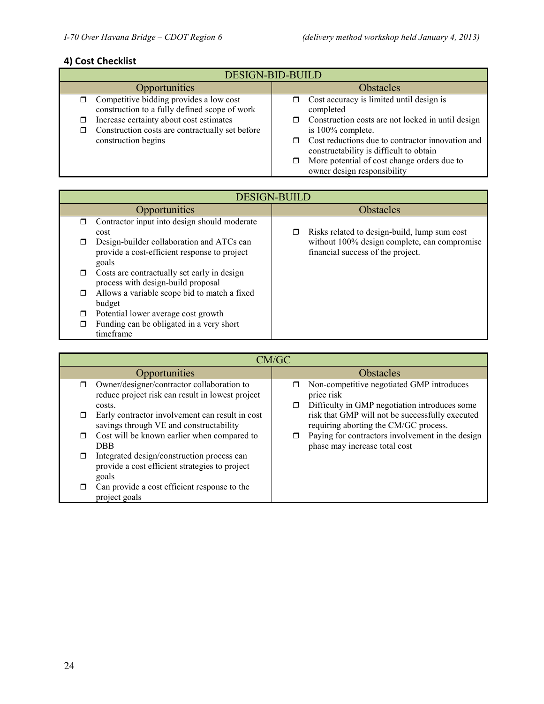### **4) Cost Checklist**

| <b>DESIGN-BID-BUILD</b>                                                                         |                                                                                             |  |
|-------------------------------------------------------------------------------------------------|---------------------------------------------------------------------------------------------|--|
| <b>Opportunities</b>                                                                            | <b>Obstacles</b>                                                                            |  |
| Competitive bidding provides a low cost<br>σ.<br>construction to a fully defined scope of work  | Cost accuracy is limited until design is<br>α.<br>completed                                 |  |
| Increase certainty about cost estimates<br>□<br>Construction costs are contractually set before | Construction costs are not locked in until design<br>α.<br>is 100% complete.                |  |
| construction begins                                                                             | Cost reductions due to contractor innovation and<br>constructability is difficult to obtain |  |
|                                                                                                 | More potential of cost change orders due to<br>ο.<br>owner design responsibility            |  |

|        | <b>DESIGN-BUILD</b>                                                                                |   |                                                                                   |
|--------|----------------------------------------------------------------------------------------------------|---|-----------------------------------------------------------------------------------|
|        | <b>Opportunities</b>                                                                               |   | <b>Obstacles</b>                                                                  |
| $\Box$ | Contractor input into design should moderate<br>cost                                               | □ | Risks related to design-build, lump sum cost                                      |
| □      | Design-builder collaboration and ATCs can<br>provide a cost-efficient response to project<br>goals |   | without 100% design complete, can compromise<br>financial success of the project. |
| □      | Costs are contractually set early in design<br>process with design-build proposal                  |   |                                                                                   |
| $\Box$ | Allows a variable scope bid to match a fixed<br>budget                                             |   |                                                                                   |
| □      | Potential lower average cost growth                                                                |   |                                                                                   |
| □      | Funding can be obligated in a very short<br>timeframe                                              |   |                                                                                   |

|   | CM/GC                                                                                                    |             |                                                                                                          |
|---|----------------------------------------------------------------------------------------------------------|-------------|----------------------------------------------------------------------------------------------------------|
|   | Opportunities                                                                                            |             | <b>Obstacles</b>                                                                                         |
| ⊓ | Owner/designer/contractor collaboration to<br>reduce project risk can result in lowest project<br>costs. | ⊓<br>$\Box$ | Non-competitive negotiated GMP introduces<br>price risk<br>Difficulty in GMP negotiation introduces some |
|   | Early contractor involvement can result in cost<br>savings through VE and constructability               |             | risk that GMP will not be successfully executed<br>requiring aborting the CM/GC process.                 |
| ⊓ | Cost will be known earlier when compared to<br>DBB.                                                      |             | Paying for contractors involvement in the design<br>phase may increase total cost                        |
| ⊓ | Integrated design/construction process can<br>provide a cost efficient strategies to project<br>goals    |             |                                                                                                          |
|   | Can provide a cost efficient response to the<br>project goals                                            |             |                                                                                                          |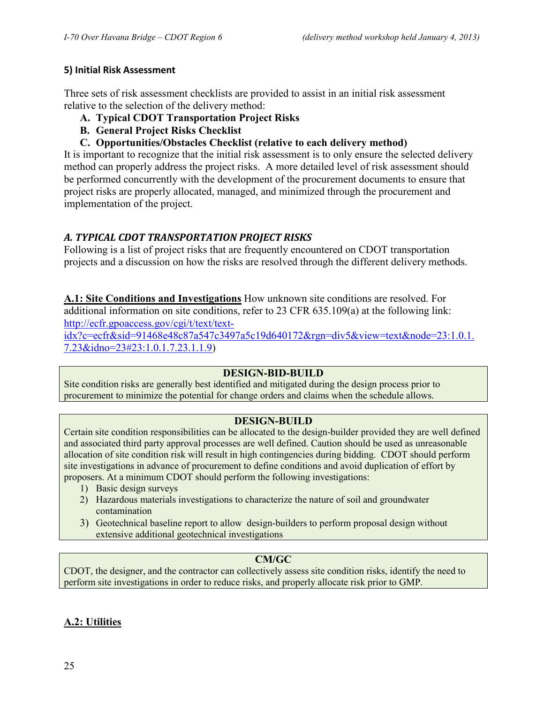#### **5) Initial Risk Assessment**

Three sets of risk assessment checklists are provided to assist in an initial risk assessment relative to the selection of the delivery method:

- **A. Typical CDOT Transportation Project Risks**
- **B. General Project Risks Checklist**
- **C. Opportunities/Obstacles Checklist (relative to each delivery method)**

It is important to recognize that the initial risk assessment is to only ensure the selected delivery method can properly address the project risks. A more detailed level of risk assessment should be performed concurrently with the development of the procurement documents to ensure that project risks are properly allocated, managed, and minimized through the procurement and implementation of the project.

## *A. TYPICAL CDOT TRANSPORTATION PROJECT RISKS*

Following is a list of project risks that are frequently encountered on CDOT transportation projects and a discussion on how the risks are resolved through the different delivery methods.

**A.1: Site Conditions and Investigations** How unknown site conditions are resolved. For additional information on site conditions, refer to 23 CFR 635.109(a) at the following link: [http://ecfr.gpoaccess.gov/cgi/t/text/text-](http://ecfr.gpoaccess.gov/cgi/t/text/text-idx?c=ecfr&sid=91468e48c87a547c3497a5c19d640172&rgn=div5&view=text&node=23:1.0.1.7.23&idno=23#23:1.0.1.7.23.1.1.9)

[idx?c=ecfr&sid=91468e48c87a547c3497a5c19d640172&rgn=div5&view=text&node=23:1.0.1.](http://ecfr.gpoaccess.gov/cgi/t/text/text-idx?c=ecfr&sid=91468e48c87a547c3497a5c19d640172&rgn=div5&view=text&node=23:1.0.1.7.23&idno=23#23:1.0.1.7.23.1.1.9) [7.23&idno=23#23:1.0.1.7.23.1.1.9\)](http://ecfr.gpoaccess.gov/cgi/t/text/text-idx?c=ecfr&sid=91468e48c87a547c3497a5c19d640172&rgn=div5&view=text&node=23:1.0.1.7.23&idno=23#23:1.0.1.7.23.1.1.9)

#### **DESIGN-BID-BUILD**

Site condition risks are generally best identified and mitigated during the design process prior to procurement to minimize the potential for change orders and claims when the schedule allows.

#### **DESIGN-BUILD**

Certain site condition responsibilities can be allocated to the design-builder provided they are well defined and associated third party approval processes are well defined. Caution should be used as unreasonable allocation of site condition risk will result in high contingencies during bidding. CDOT should perform site investigations in advance of procurement to define conditions and avoid duplication of effort by proposers. At a minimum CDOT should perform the following investigations:

- 1) Basic design surveys
- 2) Hazardous materials investigations to characterize the nature of soil and groundwater contamination
- 3) Geotechnical baseline report to allow design-builders to perform proposal design without extensive additional geotechnical investigations

## **CM/GC**

CDOT, the designer, and the contractor can collectively assess site condition risks, identify the need to perform site investigations in order to reduce risks, and properly allocate risk prior to GMP.

## **A.2: Utilities**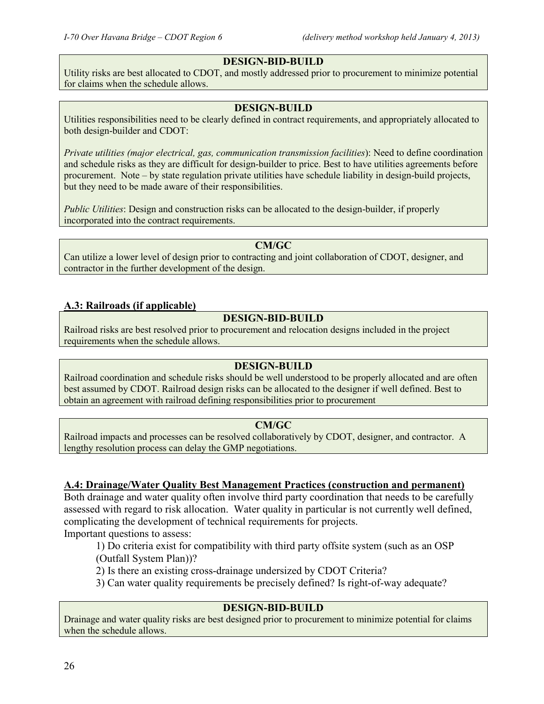### **DESIGN-BID-BUILD**

Utility risks are best allocated to CDOT, and mostly addressed prior to procurement to minimize potential for claims when the schedule allows.

#### **DESIGN-BUILD**

Utilities responsibilities need to be clearly defined in contract requirements, and appropriately allocated to both design-builder and CDOT:

*Private utilities (major electrical, gas, communication transmission facilities*): Need to define coordination and schedule risks as they are difficult for design-builder to price. Best to have utilities agreements before procurement. Note – by state regulation private utilities have schedule liability in design-build projects, but they need to be made aware of their responsibilities.

*Public Utilities*: Design and construction risks can be allocated to the design-builder, if properly incorporated into the contract requirements.

#### **CM/GC**

Can utilize a lower level of design prior to contracting and joint collaboration of CDOT, designer, and contractor in the further development of the design.

#### **A.3: Railroads (if applicable)**

#### **DESIGN-BID-BUILD**

Railroad risks are best resolved prior to procurement and relocation designs included in the project requirements when the schedule allows.

#### **DESIGN-BUILD**

Railroad coordination and schedule risks should be well understood to be properly allocated and are often best assumed by CDOT. Railroad design risks can be allocated to the designer if well defined. Best to obtain an agreement with railroad defining responsibilities prior to procurement

#### **CM/GC**

Railroad impacts and processes can be resolved collaboratively by CDOT, designer, and contractor. A lengthy resolution process can delay the GMP negotiations.

#### **A.4: Drainage/Water Quality Best Management Practices (construction and permanent)**

Both drainage and water quality often involve third party coordination that needs to be carefully assessed with regard to risk allocation. Water quality in particular is not currently well defined, complicating the development of technical requirements for projects.

Important questions to assess:

1) Do criteria exist for compatibility with third party offsite system (such as an OSP

(Outfall System Plan))?

2) Is there an existing cross-drainage undersized by CDOT Criteria?

3) Can water quality requirements be precisely defined? Is right-of-way adequate?

#### **DESIGN-BID-BUILD**

Drainage and water quality risks are best designed prior to procurement to minimize potential for claims when the schedule allows.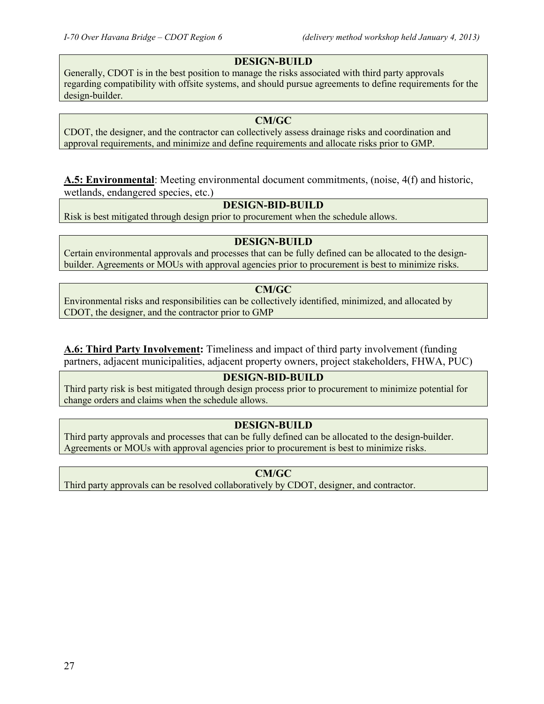#### **DESIGN-BUILD**

Generally, CDOT is in the best position to manage the risks associated with third party approvals regarding compatibility with offsite systems, and should pursue agreements to define requirements for the design-builder.

#### **CM/GC**

CDOT, the designer, and the contractor can collectively assess drainage risks and coordination and approval requirements, and minimize and define requirements and allocate risks prior to GMP.

**A.5: Environmental**: Meeting environmental document commitments, (noise, 4(f) and historic, wetlands, endangered species, etc.)

#### **DESIGN-BID-BUILD**

Risk is best mitigated through design prior to procurement when the schedule allows.

#### **DESIGN-BUILD**

Certain environmental approvals and processes that can be fully defined can be allocated to the designbuilder. Agreements or MOUs with approval agencies prior to procurement is best to minimize risks.

#### **CM/GC**

Environmental risks and responsibilities can be collectively identified, minimized, and allocated by CDOT, the designer, and the contractor prior to GMP

**A.6: Third Party Involvement:** Timeliness and impact of third party involvement (funding partners, adjacent municipalities, adjacent property owners, project stakeholders, FHWA, PUC)

#### **DESIGN-BID-BUILD**

Third party risk is best mitigated through design process prior to procurement to minimize potential for change orders and claims when the schedule allows.

#### **DESIGN-BUILD**

Third party approvals and processes that can be fully defined can be allocated to the design-builder. Agreements or MOUs with approval agencies prior to procurement is best to minimize risks.

**CM/GC**

Third party approvals can be resolved collaboratively by CDOT, designer, and contractor.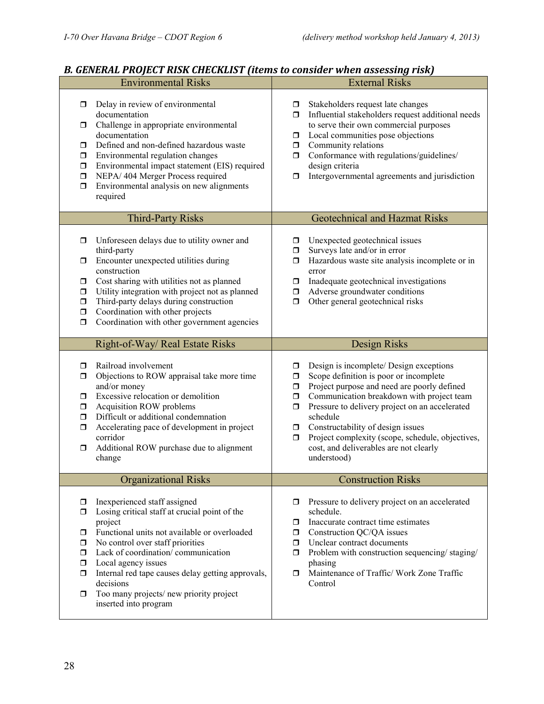| <b>Environmental Risks</b>                                                                                                                                                                                                                                                                                                                                                                                                        | <b>External Risks</b>                                                                                                                                                                                                                                                                                                                                                                                                                                |
|-----------------------------------------------------------------------------------------------------------------------------------------------------------------------------------------------------------------------------------------------------------------------------------------------------------------------------------------------------------------------------------------------------------------------------------|------------------------------------------------------------------------------------------------------------------------------------------------------------------------------------------------------------------------------------------------------------------------------------------------------------------------------------------------------------------------------------------------------------------------------------------------------|
| Delay in review of environmental<br>0<br>documentation<br>Challenge in appropriate environmental<br>α.<br>documentation<br>Defined and non-defined hazardous waste<br>0<br>Environmental regulation changes<br>0<br>Environmental impact statement (EIS) required<br>$\Box$<br>NEPA/404 Merger Process required<br>$\Box$<br>Environmental analysis on new alignments<br>$\Box$<br>required                                       | Stakeholders request late changes<br>σ.<br>Influential stakeholders request additional needs<br>ο.<br>to serve their own commercial purposes<br>Local communities pose objections<br>$\Box$<br>Community relations<br>$\Box$<br>Conformance with regulations/guidelines/<br>ο.<br>design criteria<br>Intergovernmental agreements and jurisdiction<br>□                                                                                              |
| <b>Third-Party Risks</b>                                                                                                                                                                                                                                                                                                                                                                                                          | <b>Geotechnical and Hazmat Risks</b>                                                                                                                                                                                                                                                                                                                                                                                                                 |
| Unforeseen delays due to utility owner and<br>σ<br>third-party<br>Encounter unexpected utilities during<br>0<br>construction<br>Cost sharing with utilities not as planned<br>0<br>Utility integration with project not as planned<br>$\Box$<br>Third-party delays during construction<br>$\Box$<br>Coordination with other projects<br>$\Box$<br>Coordination with other government agencies<br>$\Box$                           | Unexpected geotechnical issues<br>□<br>Surveys late and/or in error<br>σ.<br>Hazardous waste site analysis incomplete or in<br>0<br>error<br>Inadequate geotechnical investigations<br>ο.<br>Adverse groundwater conditions<br>Ο.<br>Other general geotechnical risks<br>$\Box$                                                                                                                                                                      |
| Right-of-Way/ Real Estate Risks                                                                                                                                                                                                                                                                                                                                                                                                   | Design Risks                                                                                                                                                                                                                                                                                                                                                                                                                                         |
| Railroad involvement<br>σ<br>Objections to ROW appraisal take more time<br>0<br>and/or money<br>Excessive relocation or demolition<br>$\Box$<br>Acquisition ROW problems<br>$\Box$<br>Difficult or additional condemnation<br>$\Box$<br>Accelerating pace of development in project<br>$\Box$<br>corridor<br>Additional ROW purchase due to alignment<br>0<br>change                                                              | Design is incomplete/ Design exceptions<br>σ<br>Scope definition is poor or incomplete<br>$\Box$<br>Project purpose and need are poorly defined<br>$\Box$<br>Communication breakdown with project team<br>$\Box$<br>Pressure to delivery project on an accelerated<br>$\Box$<br>schedule<br>Constructability of design issues<br>□<br>Project complexity (scope, schedule, objectives,<br>σ<br>cost, and deliverables are not clearly<br>understood) |
| <b>Organizational Risks</b>                                                                                                                                                                                                                                                                                                                                                                                                       | <b>Construction Risks</b>                                                                                                                                                                                                                                                                                                                                                                                                                            |
| Inexperienced staff assigned<br>$\Box$<br>Losing critical staff at crucial point of the<br>0<br>project<br>Functional units not available or overloaded<br>0<br>No control over staff priorities<br>0<br>Lack of coordination/communication<br>ο.<br>Local agency issues<br>$\Box$<br>Internal red tape causes delay getting approvals,<br>0<br>decisions<br>Too many projects/new priority project<br>0<br>inserted into program | Pressure to delivery project on an accelerated<br>schedule.<br>Inaccurate contract time estimates<br>□<br>Construction QC/QA issues<br>$\Box$<br>Unclear contract documents<br>Ο.<br>Problem with construction sequencing/staging/<br>Ο.<br>phasing<br>Maintenance of Traffic/ Work Zone Traffic<br>Ω.<br>Control                                                                                                                                    |

## *B. GENERAL PROJECT RISK CHECKLIST (items to consider when assessing risk)*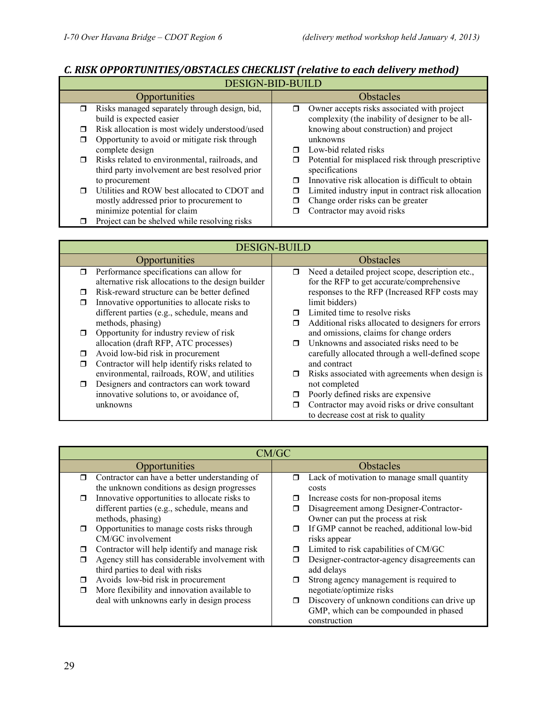|        | C MON OFFONTONITIO) ODJINCIOJ CHIRCKINJI TERRIFE IO CREA REIFEI J MCHORJ                          |   |                                                                                                 |
|--------|---------------------------------------------------------------------------------------------------|---|-------------------------------------------------------------------------------------------------|
|        | <b>DESIGN-BID-BUILD</b>                                                                           |   |                                                                                                 |
|        | <b>Opportunities</b>                                                                              |   | <b>Obstacles</b>                                                                                |
| $\Box$ | Risks managed separately through design, bid,<br>build is expected easier                         | π | Owner accepts risks associated with project<br>complexity (the inability of designer to be all- |
| σ      | Risk allocation is most widely understood/used                                                    |   | knowing about construction) and project                                                         |
| ◘      | Opportunity to avoid or mitigate risk through                                                     |   | unknowns                                                                                        |
|        | complete design                                                                                   | ⊓ | Low-bid related risks                                                                           |
| $\Box$ | Risks related to environmental, railroads, and<br>third party involvement are best resolved prior | □ | Potential for misplaced risk through prescriptive<br>specifications                             |
|        | to procurement                                                                                    | ⊓ | Innovative risk allocation is difficult to obtain                                               |
| ⊓      | Utilities and ROW best allocated to CDOT and                                                      | □ | Limited industry input in contract risk allocation                                              |
|        | mostly addressed prior to procurement to                                                          |   | Change order risks can be greater                                                               |
|        | minimize potential for claim                                                                      |   | Contractor may avoid risks                                                                      |
| ⊓      | Project can be shelved while resolving risks                                                      |   |                                                                                                 |

## *C. RISK OPPORTUNITIES/OBSTACLES CHECKLIST (relative to each delivery method)*

| <b>DESIGN-BUILD</b>                                 |                                                           |  |
|-----------------------------------------------------|-----------------------------------------------------------|--|
| Opportunities                                       | <b>Obstacles</b>                                          |  |
| Performance specifications can allow for<br>π       | Need a detailed project scope, description etc.,<br>□     |  |
| alternative risk allocations to the design builder  | for the RFP to get accurate/comprehensive                 |  |
| Risk-reward structure can be better defined<br>⊓    | responses to the RFP (Increased RFP costs may             |  |
| Innovative opportunities to allocate risks to<br>П  | limit bidders)                                            |  |
| different parties (e.g., schedule, means and        | Limited time to resolve risks                             |  |
| methods, phasing)                                   | Additional risks allocated to designers for errors<br>Ω   |  |
| Opportunity for industry review of risk             | and omissions, claims for change orders                   |  |
| allocation (draft RFP, ATC processes)               | Unknowns and associated risks need to be.                 |  |
| Avoid low-bid risk in procurement<br>⊓              | carefully allocated through a well-defined scope          |  |
| Contractor will help identify risks related to<br>⊓ | and contract                                              |  |
| environmental, railroads, ROW, and utilities        | Risks associated with agreements when design is<br>$\Box$ |  |
| Designers and contractors can work toward<br>⊓      | not completed                                             |  |
| innovative solutions to, or avoidance of,           | Poorly defined risks are expensive                        |  |
| unknowns                                            | Contractor may avoid risks or drive consultant            |  |
|                                                     | to decrease cost at risk to quality                       |  |

|        | CM/GC                                          |        |                                              |
|--------|------------------------------------------------|--------|----------------------------------------------|
|        | Opportunities                                  |        | <b>Obstacles</b>                             |
| $\Box$ | Contractor can have a better understanding of  | □      | Lack of motivation to manage small quantity  |
|        | the unknown conditions as design progresses    |        | costs                                        |
| $\Box$ | Innovative opportunities to allocate risks to  |        | Increase costs for non-proposal items        |
|        | different parties (e.g., schedule, means and   |        | Disagreement among Designer-Contractor-      |
|        | methods, phasing)                              |        | Owner can put the process at risk            |
| $\Box$ | Opportunities to manage costs risks through    | ⊓      | If GMP cannot be reached, additional low-bid |
|        | CM/GC involvement                              |        | risks appear                                 |
| П      | Contractor will help identify and manage risk  | ⊓      | Limited to risk capabilities of CM/GC        |
| П      | Agency still has considerable involvement with |        | Designer-contractor-agency disagreements can |
|        | third parties to deal with risks               |        | add delays                                   |
| $\Box$ | Avoids low-bid risk in procurement             |        | Strong agency management is required to      |
| $\Box$ | More flexibility and innovation available to   |        | negotiate/optimize risks                     |
|        | deal with unknowns early in design process     | $\Box$ | Discovery of unknown conditions can drive up |
|        |                                                |        | GMP, which can be compounded in phased       |
|        |                                                |        | construction                                 |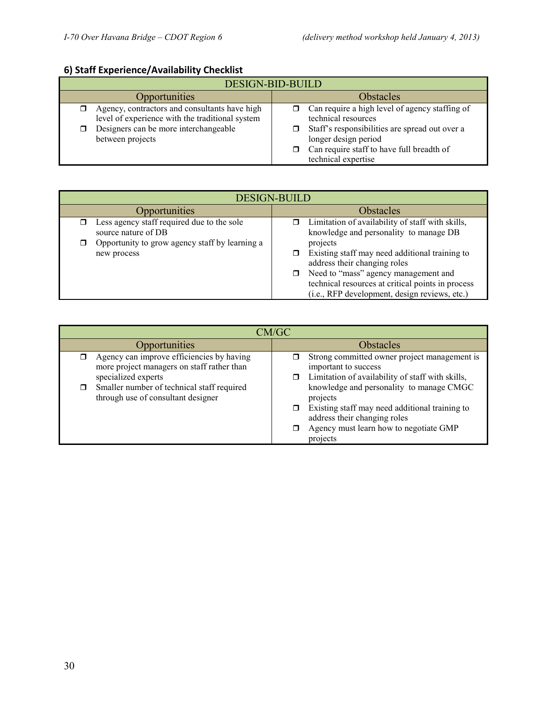## **6) Staff Experience/Availability Checklist**

| DESIGN-BID-BUILD                                                                                                                                              |                                                                                                                                                                                                                     |  |
|---------------------------------------------------------------------------------------------------------------------------------------------------------------|---------------------------------------------------------------------------------------------------------------------------------------------------------------------------------------------------------------------|--|
| Opportunities                                                                                                                                                 | <b>Obstacles</b>                                                                                                                                                                                                    |  |
| Agency, contractors and consultants have high<br>level of experience with the traditional system<br>Designers can be more interchangeable<br>between projects | Can require a high level of agency staffing of<br>technical resources<br>Staff's responsibilities are spread out over a<br>longer design period<br>Can require staff to have full breadth of<br>technical expertise |  |

| <b>DESIGN-BUILD</b>                                                                                                 |                                                                                                                                                                                                                                |  |
|---------------------------------------------------------------------------------------------------------------------|--------------------------------------------------------------------------------------------------------------------------------------------------------------------------------------------------------------------------------|--|
| Opportunities                                                                                                       | Obstacles                                                                                                                                                                                                                      |  |
| Less agency staff required due to the sole<br>source nature of DB<br>Opportunity to grow agency staff by learning a | $\Box$ Limitation of availability of staff with skills,<br>knowledge and personality to manage DB<br>projects                                                                                                                  |  |
| new process                                                                                                         | Existing staff may need additional training to<br>address their changing roles<br>□ Need to "mass" agency management and<br>technical resources at critical points in process<br>(i.e., RFP development, design reviews, etc.) |  |

| CM/GC                                                                                                                                                                                              |                                                                                                                                                                                  |  |
|----------------------------------------------------------------------------------------------------------------------------------------------------------------------------------------------------|----------------------------------------------------------------------------------------------------------------------------------------------------------------------------------|--|
| <b>Opportunities</b>                                                                                                                                                                               | <b>Obstacles</b>                                                                                                                                                                 |  |
| Agency can improve efficiencies by having<br>more project managers on staff rather than<br>specialized experts<br>Smaller number of technical staff required<br>through use of consultant designer | Strong committed owner project management is<br>important to success<br>Limitation of availability of staff with skills,<br>knowledge and personality to manage CMGC<br>projects |  |
|                                                                                                                                                                                                    | Existing staff may need additional training to<br>address their changing roles<br>Agency must learn how to negotiate GMP<br>projects                                             |  |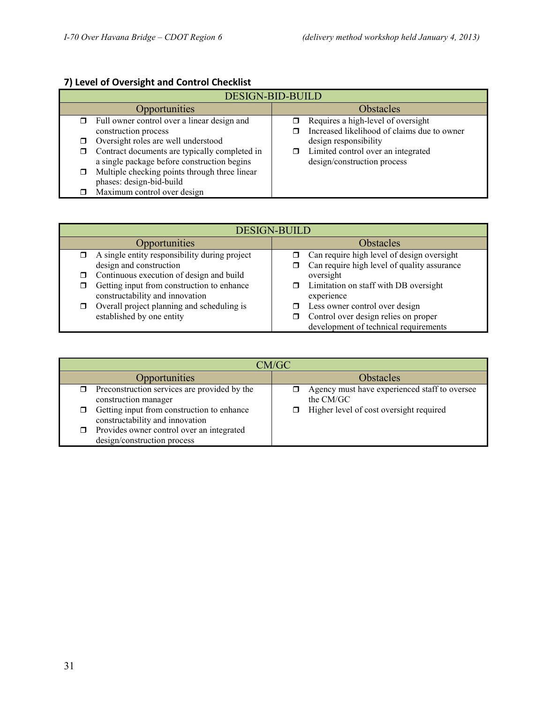## **7) Level of Oversight and Control Checklist**

| <b>DESIGN-BID-BUILD</b>                                                                           |                                                                                   |  |
|---------------------------------------------------------------------------------------------------|-----------------------------------------------------------------------------------|--|
| Opportunities                                                                                     | <b>Obstacles</b>                                                                  |  |
| $\Box$ Full owner control over a linear design and<br>construction process                        | Requires a high-level of oversight<br>Increased likelihood of claims due to owner |  |
| Oversight roles are well understood<br>⊓                                                          | design responsibility                                                             |  |
| Contract documents are typically completed in<br>□<br>a single package before construction begins | Limited control over an integrated<br>σ.<br>design/construction process           |  |
| Multiple checking points through three linear<br>□<br>phases: design-bid-build                    |                                                                                   |  |
| Maximum control over design                                                                       |                                                                                   |  |

| <b>DESIGN-BUILD</b>                                                           |                                                               |  |  |  |
|-------------------------------------------------------------------------------|---------------------------------------------------------------|--|--|--|
| Opportunities                                                                 | <b>Obstacles</b>                                              |  |  |  |
| A single entity responsibility during project                                 | Can require high level of design oversight                    |  |  |  |
| design and construction                                                       | Can require high level of quality assurance                   |  |  |  |
| Continuous execution of design and build                                      | oversight                                                     |  |  |  |
| Getting input from construction to enhance<br>constructability and innovation | Limitation on staff with DB oversight<br>$\Box$<br>experience |  |  |  |
| Overall project planning and scheduling is                                    | Less owner control over design                                |  |  |  |
| established by one entity                                                     | Control over design relies on proper                          |  |  |  |
|                                                                               | development of technical requirements                         |  |  |  |

| CM/GC                                                                         |                                                            |  |  |  |
|-------------------------------------------------------------------------------|------------------------------------------------------------|--|--|--|
| Opportunities                                                                 | <b>Obstacles</b>                                           |  |  |  |
| Preconstruction services are provided by the<br>construction manager          | Agency must have experienced staff to oversee<br>the CM/GC |  |  |  |
| Getting input from construction to enhance<br>constructability and innovation | Higher level of cost oversight required                    |  |  |  |
| Provides owner control over an integrated<br>design/construction process      |                                                            |  |  |  |